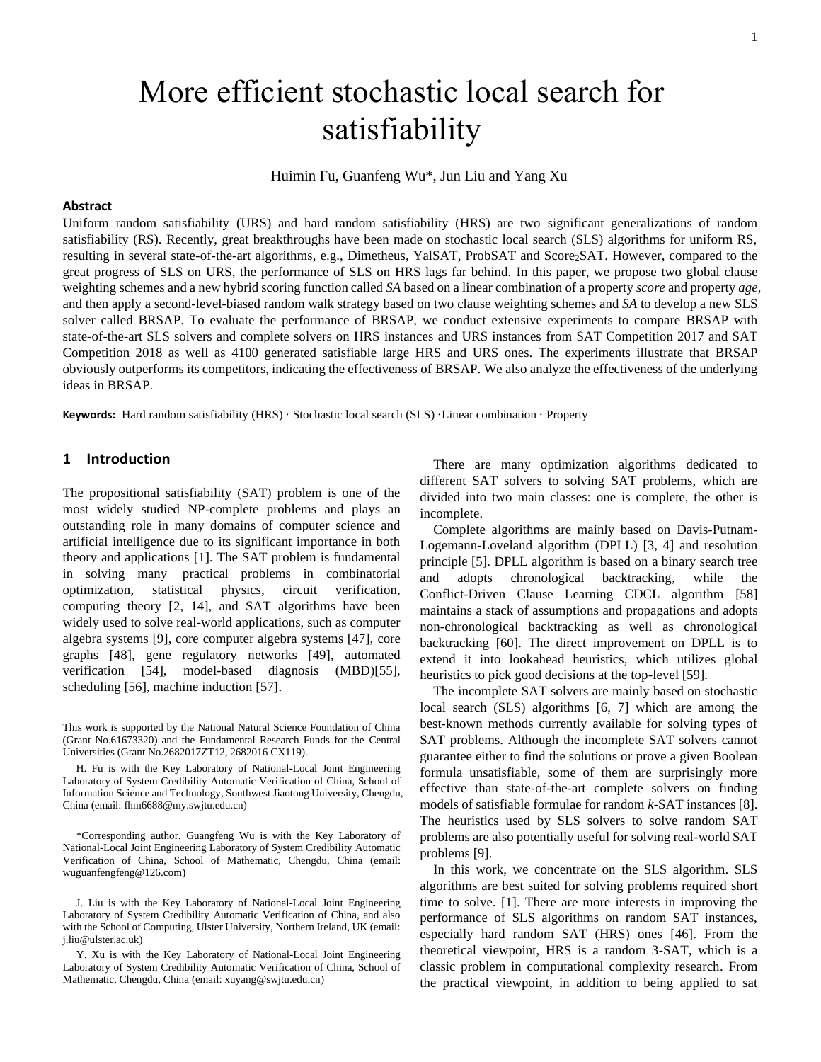# More efficient stochastic local search for satisfiability

Huimin Fu, Guanfeng Wu\*, Jun Liu and Yang Xu

# **Abstract**

Uniform random satisfiability (URS) and hard random satisfiability (HRS) are two significant generalizations of random satisfiability (RS). Recently, great breakthroughs have been made on stochastic local search (SLS) algorithms for uniform RS, resulting in several state-of-the-art algorithms, e.g., Dimetheus, YalSAT, ProbSAT and Score<sub>2</sub>SAT. However, compared to the great progress of SLS on URS, the performance of SLS on HRS lags far behind. In this paper, we propose two global clause weighting schemes and a new hybrid scoring function called *SA* based on a linear combination of a property *score* and property *age*, and then apply a second-level-biased random walk strategy based on two clause weighting schemes and *SA* to develop a new SLS solver called BRSAP. To evaluate the performance of BRSAP, we conduct extensive experiments to compare BRSAP with state-of-the-art SLS solvers and complete solvers on HRS instances and URS instances from SAT Competition 2017 and SAT Competition 2018 as well as 4100 generated satisfiable large HRS and URS ones. The experiments illustrate that BRSAP obviously outperforms its competitors, indicating the effectiveness of BRSAP. We also analyze the effectiveness of the underlying ideas in BRSAP.

**Keywords:** Hard random satisfiability (HRS) · Stochastic local search (SLS) ·Linear combination · Property

# **1 Introduction**

The propositional satisfiability (SAT) problem is one of the most widely studied NP-complete problems and plays an outstanding role in many domains of computer science and artificial intelligence due to its significant importance in both theory and applications [1]. The SAT problem is fundamental in solving many practical problems in combinatorial optimization, statistical physics, circuit verification, computing theory [2, 14], and SAT algorithms have been widely used to solve real-world applications, such as computer algebra systems [9], core computer algebra systems [47], core graphs [48], gene regulatory networks [49], automated verification [54], model-based diagnosis (MBD)[55], scheduling [56], machine induction [57].

This work is supported by the National Natural Science Foundation of China (Grant No.61673320) and the Fundamental Research Funds for the Central Universities (Grant No.2682017ZT12, 2682016 CX119).

H. Fu is with the Key Laboratory of National-Local Joint Engineering Laboratory of System Credibility Automatic Verification of China, School of Information Science and Technology, Southwest Jiaotong University, Chengdu, China (email[: fhm6688@my.swjtu.edu.cn\)](mailto:fhm6688@my.swjtu.edu.cn)

\*Corresponding author. Guangfeng Wu is with the Key Laboratory of National-Local Joint Engineering Laboratory of System Credibility Automatic Verification of China, School of Mathematic, Chengdu, China (email: [wuguanfengfeng@126.com\)](mailto:wuguanfengfeng@126.com)

J. Liu is with the Key Laboratory of National-Local Joint Engineering Laboratory of System Credibility Automatic Verification of China, and also with the School of Computing, Ulster University, Northern Ireland, UK (email: [j.liu@ulster.ac.uk\)](mailto:j.liu@ulster.ac.uk)

Y. Xu is with the Key Laboratory of National-Local Joint Engineering Laboratory of System Credibility Automatic Verification of China, School of Mathematic, Chengdu, China (email: xuyang@swjtu.edu.cn)

There are many optimization algorithms dedicated to different SAT solvers to solving SAT problems, which are divided into two main classes: one is complete, the other is incomplete.

Complete algorithms are mainly based on Davis-Putnam-Logemann-Loveland algorithm (DPLL) [3, 4] and resolution principle [5]. DPLL algorithm is based on a binary search tree and adopts chronological backtracking, while the Conflict-Driven Clause Learning CDCL algorithm [58] maintains a stack of assumptions and propagations and adopts non-chronological backtracking as well as chronological backtracking [60]. The direct improvement on DPLL is to extend it into lookahead heuristics, which utilizes global heuristics to pick good decisions at the top-level [59].

The incomplete SAT solvers are mainly based on stochastic local search (SLS) algorithms [6, 7] which are among the best-known methods currently available for solving types of SAT problems. Although the incomplete SAT solvers cannot guarantee either to find the solutions or prove a given Boolean formula unsatisfiable, some of them are surprisingly more effective than state-of-the-art complete solvers on finding models of satisfiable formulae for random *k*-SAT instances [8]. The heuristics used by SLS solvers to solve random SAT problems are also potentially useful for solving real-world SAT problems [9].

In this work, we concentrate on the SLS algorithm. SLS algorithms are best suited for solving problems required short time to solve. [1]. There are more interests in improving the performance of SLS algorithms on random SAT instances, especially hard random SAT (HRS) ones [46]. From the theoretical viewpoint, HRS is a random 3-SAT, which is a classic problem in computational complexity research. From the practical viewpoint, in addition to being applied to sat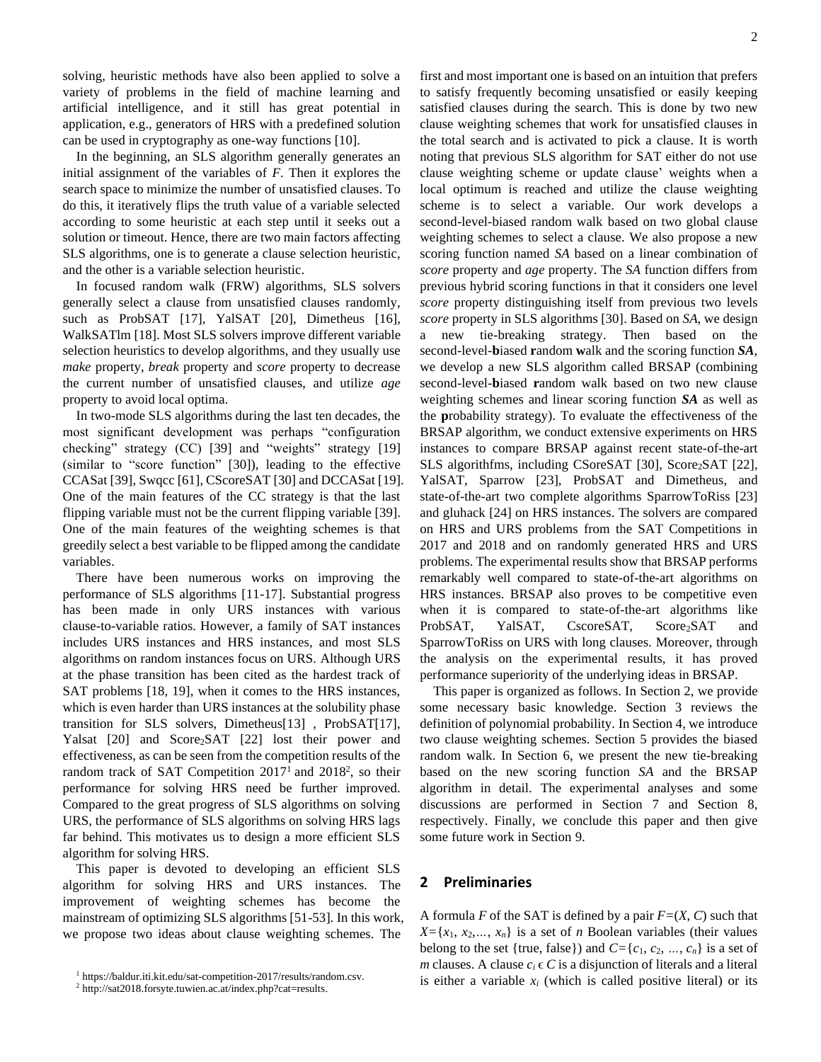solving, heuristic methods have also been applied to solve a variety of problems in the field of machine learning and artificial intelligence, and it still has great potential in application, e.g., generators of HRS with a predefined solution can be used in cryptography as one-way functions [10].

In the beginning, an SLS algorithm generally generates an initial assignment of the variables of *F*. Then it explores the search space to minimize the number of unsatisfied clauses. To do this, it iteratively flips the truth value of a variable selected according to some heuristic at each step until it seeks out a solution or timeout. Hence, there are two main factors affecting SLS algorithms, one is to generate a clause selection heuristic, and the other is a variable selection heuristic.

In focused random walk (FRW) algorithms, SLS solvers generally select a clause from unsatisfied clauses randomly, such as ProbSAT [17], YalSAT [20], Dimetheus [16], WalkSATlm [18]. Most SLS solvers improve different variable selection heuristics to develop algorithms, and they usually use *make* property, *break* property and *score* property to decrease the current number of unsatisfied clauses, and utilize *age* property to avoid local optima.

In two-mode SLS algorithms during the last ten decades, the most significant development was perhaps "configuration checking" strategy (CC) [39] and "weights" strategy [19] (similar to "score function" [30]), leading to the effective CCASat [39], Swqcc [61], CScoreSAT [30] and DCCASat [19]. One of the main features of the CC strategy is that the last flipping variable must not be the current flipping variable [39]. One of the main features of the weighting schemes is that greedily select a best variable to be flipped among the candidate variables.

There have been numerous works on improving the performance of SLS algorithms [11-17]. Substantial progress has been made in only URS instances with various clause-to-variable ratios. However, a family of SAT instances includes URS instances and HRS instances, and most SLS algorithms on random instances focus on URS. Although URS at the phase transition has been cited as the hardest track of SAT problems [18, 19], when it comes to the HRS instances, which is even harder than URS instances at the solubility phase transition for SLS solvers, Dimetheus[13] , ProbSAT[17], Yalsat [20] and Score<sub>2</sub>SAT [22] lost their power and effectiveness, as can be seen from the competition results of the random track of SAT Competition 2017<sup>1</sup> and 2018<sup>2</sup>, so their performance for solving HRS need be further improved. Compared to the great progress of SLS algorithms on solving URS, the performance of SLS algorithms on solving HRS lags far behind. This motivates us to design a more efficient SLS algorithm for solving HRS.

This paper is devoted to developing an efficient SLS algorithm for solving HRS and URS instances. The improvement of weighting schemes has become the mainstream of optimizing SLS algorithms [51-53]. In this work, we propose two ideas about clause weighting schemes. The

first and most important one is based on an intuition that prefers to satisfy frequently becoming unsatisfied or easily keeping satisfied clauses during the search. This is done by two new clause weighting schemes that work for unsatisfied clauses in the total search and is activated to pick a clause. It is worth noting that previous SLS algorithm for SAT either do not use clause weighting scheme or update clause' weights when a local optimum is reached and utilize the clause weighting scheme is to select a variable. Our work develops a second-level-biased random walk based on two global clause weighting schemes to select a clause. We also propose a new scoring function named *SA* based on a linear combination of *score* property and *age* property. The *SA* function differs from previous hybrid scoring functions in that it considers one level *score* property distinguishing itself from previous two levels *score* property in SLS algorithms [30]. Based on *SA*, we design a new tie-breaking strategy. Then based on the second-level-**b**iased **r**andom **w**alk and the scoring function *SA*, we develop a new SLS algorithm called BRSAP (combining second-level-**b**iased **r**andom walk based on two new clause weighting schemes and linear scoring function *SA* as well as the **p**robability strategy). To evaluate the effectiveness of the BRSAP algorithm, we conduct extensive experiments on HRS instances to compare BRSAP against recent state-of-the-art SLS algorithfms, including CSoreSAT [30], Score<sub>2</sub>SAT [22], YalSAT, Sparrow [23], ProbSAT and Dimetheus, and state-of-the-art two complete algorithms SparrowToRiss [23] and gluhack [24] on HRS instances. The solvers are compared on HRS and URS problems from the SAT Competitions in 2017 and 2018 and on randomly generated HRS and URS problems. The experimental results show that BRSAP performs remarkably well compared to state-of-the-art algorithms on HRS instances. BRSAP also proves to be competitive even when it is compared to state-of-the-art algorithms like ProbSAT, YalSAT, CscoreSAT, Score<sub>2</sub>SAT and SparrowToRiss on URS with long clauses. Moreover, through the analysis on the experimental results, it has proved performance superiority of the underlying ideas in BRSAP.

This paper is organized as follows. In Section 2, we provide some necessary basic knowledge. Section 3 reviews the definition of polynomial probability. In Section 4, we introduce two clause weighting schemes. Section 5 provides the biased random walk. In Section 6, we present the new tie-breaking based on the new scoring function *SA* and the BRSAP algorithm in detail. The experimental analyses and some discussions are performed in Section 7 and Section 8, respectively. Finally, we conclude this paper and then give some future work in Section 9.

# **2 Preliminaries**

A formula *F* of the SAT is defined by a pair  $F=(X, C)$  such that  $X = \{x_1, x_2, \ldots, x_n\}$  is a set of *n* Boolean variables (their values belong to the set {true, false}) and  $C = \{c_1, c_2, ..., c_n\}$  is a set of *m* clauses. A clause  $c_i \in C$  is a disjunction of literals and a literal is either a variable  $x_i$  (which is called positive literal) or its

<sup>1</sup> https://baldur.iti.kit.edu/sat-competition-2017/results/random.csv.

<sup>2</sup> http://sat2018.forsyte.tuwien.ac.at/index.php?cat=results.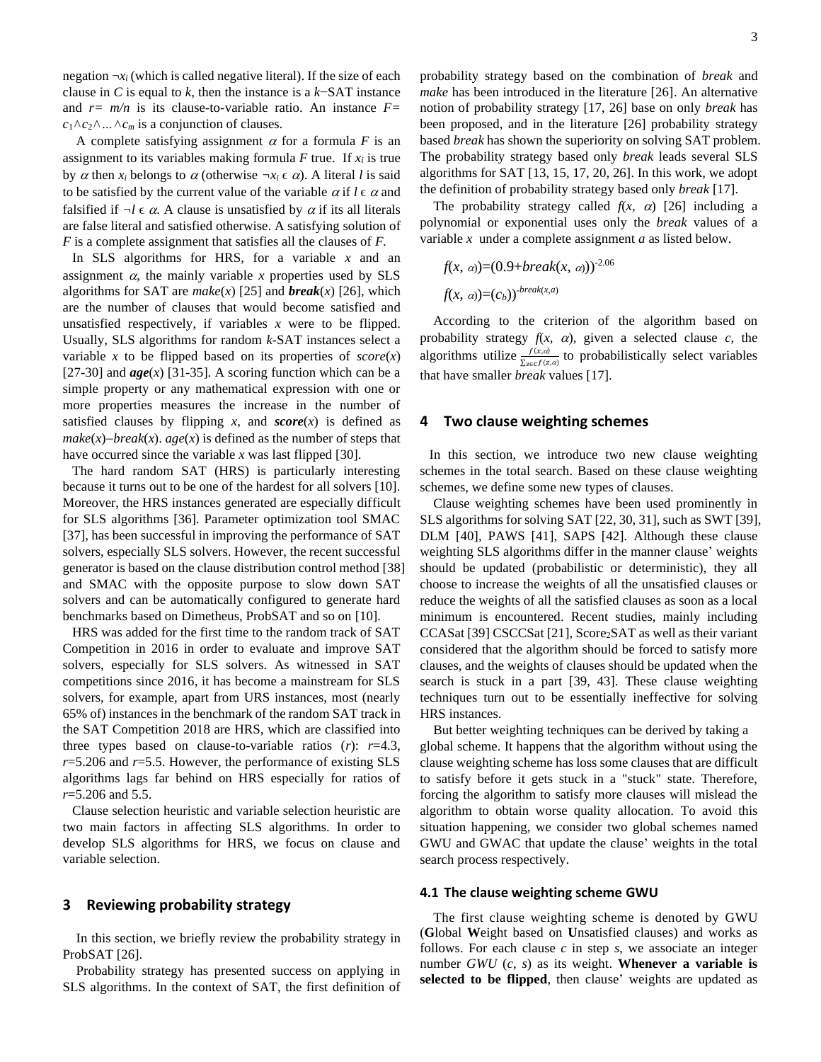negation  $\neg x_i$  (which is called negative literal). If the size of each clause in *C* is equal to *k*, then the instance is a *k*−SAT instance and *r= m/n* is its clause-to-variable ratio. An instance *F=*  $c_1 \wedge c_2 \wedge \ldots \wedge c_m$  is a conjunction of clauses.

A complete satisfying assignment  $\alpha$  for a formula *F* is an assignment to its variables making formula  $F$  true. If  $x_i$  is true by  $\alpha$  then  $x_i$  belongs to  $\alpha$  (otherwise  $\neg x_i \in \alpha$ ). A literal *l* is said to be satisfied by the current value of the variable  $\alpha$  if  $l \in \alpha$  and falsified if  $\neg l \in \alpha$ . A clause is unsatisfied by  $\alpha$  if its all literals are false literal and satisfied otherwise. A satisfying solution of *F* is a complete assignment that satisfies all the clauses of *F.* 

In SLS algorithms for HRS, for a variable *x* and an assignment  $\alpha$ , the mainly variable x properties used by SLS algorithms for SAT are  $make(x)$  [25] and **break** $(x)$  [26], which are the number of clauses that would become satisfied and unsatisfied respectively, if variables *x* were to be flipped. Usually, SLS algorithms for random *k-*SAT instances select a variable x to be flipped based on its properties of  $score(x)$ [27-30] and  $age(x)$  [31-35]. A scoring function which can be a simple property or any mathematical expression with one or more properties measures the increase in the number of satisfied clauses by flipping *x*, and *score* $(x)$  is defined as *make*(*x*)−*break*(*x*). *age*(*x*) is defined as the number of steps that have occurred since the variable *x* was last flipped [30].

The hard random SAT (HRS) is particularly interesting because it turns out to be one of the hardest for all solvers [10]. Moreover, the HRS instances generated are especially difficult for SLS algorithms [36]. Parameter optimization tool SMAC [37], has been successful in improving the performance of SAT solvers, especially SLS solvers. However, the recent successful generator is based on the clause distribution control method [38] and SMAC with the opposite purpose to slow down SAT solvers and can be automatically configured to generate hard benchmarks based on Dimetheus, ProbSAT and so on [10].

HRS was added for the first time to the random track of SAT Competition in 2016 in order to evaluate and improve SAT solvers, especially for SLS solvers. As witnessed in SAT competitions since 2016, it has become a mainstream for SLS solvers, for example, apart from URS instances, most (nearly 65% of) instances in the benchmark of the random SAT track in the SAT Competition 2018 are HRS, which are classified into three types based on clause-to-variable ratios  $(r)$ :  $r=4.3$ , *r*=5.206 and *r*=5.5. However, the performance of existing SLS algorithms lags far behind on HRS especially for ratios of *r*=5.206 and 5.5.

Clause selection heuristic and variable selection heuristic are two main factors in affecting SLS algorithms. In order to develop SLS algorithms for HRS, we focus on clause and variable selection.

# **3 Reviewing probability strategy**

In this section, we briefly review the probability strategy in ProbSAT [26].

Probability strategy has presented success on applying in SLS algorithms. In the context of SAT, the first definition of probability strategy based on the combination of *break* and *make* has been introduced in the literature [26]. An alternative notion of probability strategy [17, 26] base on only *break* has been proposed, and in the literature [26] probability strategy based *break* has shown the superiority on solving SAT problem. The probability strategy based only *break* leads several SLS algorithms for SAT [13, 15, 17, 20, 26]. In this work, we adopt the definition of probability strategy based only *break* [17].

The probability strategy called  $f(x, \alpha)$  [26] including a polynomial or exponential uses only the *break* values of a variable *x* under a complete assignment *a* as listed below.

$$
f(x, \alpha) = (0.9 + break(x, \alpha))^{-2.06}
$$
  
 $f(x, \alpha) = (c_b)^{-break(x, \alpha)}$ 

According to the criterion of the algorithm based on probability strategy  $f(x, \alpha)$ , given a selected clause  $c$ , the algorithms utilize  $\frac{f(x,a)}{\sum_{z \in C} f(z,a)}$  to probabilistically select variables that have smaller *break* values [17].

# **4 Two clause weighting schemes**

In this section, we introduce two new clause weighting schemes in the total search. Based on these clause weighting schemes, we define some new types of clauses.

Clause weighting schemes have been used prominently in SLS algorithms for solving SAT [22, 30, 31], such as SWT [39], DLM [40], PAWS [41], SAPS [42]. Although these clause weighting SLS algorithms differ in the manner clause' weights should be updated (probabilistic or deterministic), they all choose to increase the weights of all the unsatisfied clauses or reduce the weights of all the satisfied clauses as soon as a local minimum is encountered. Recent studies, mainly including  $CCASat [39] CSCSat [21], Score<sub>2</sub>SAT as well as their variant$ considered that the algorithm should be forced to satisfy more clauses, and the weights of clauses should be updated when the search is stuck in a part [39, 43]. These clause weighting techniques turn out to be essentially ineffective for solving HRS instances.

But better weighting techniques can be derived by taking a global scheme. It happens that the algorithm without using the clause weighting scheme has loss some clauses that are difficult to satisfy before it gets stuck in a "stuck" state. Therefore, forcing the algorithm to satisfy more clauses will mislead the algorithm to obtain worse quality allocation. To avoid this situation happening, we consider two global schemes named GWU and GWAC that update the clause' weights in the total search process respectively.

# **4.1 The clause weighting scheme GWU**

The first clause weighting scheme is denoted by GWU (**G**lobal **W**eight based on **U**nsatisfied clauses) and works as follows. For each clause *c* in step *s*, we associate an integer number *GWU* (*c*, *s*) as its weight. **Whenever a variable is selected to be flipped**, then clause' weights are updated as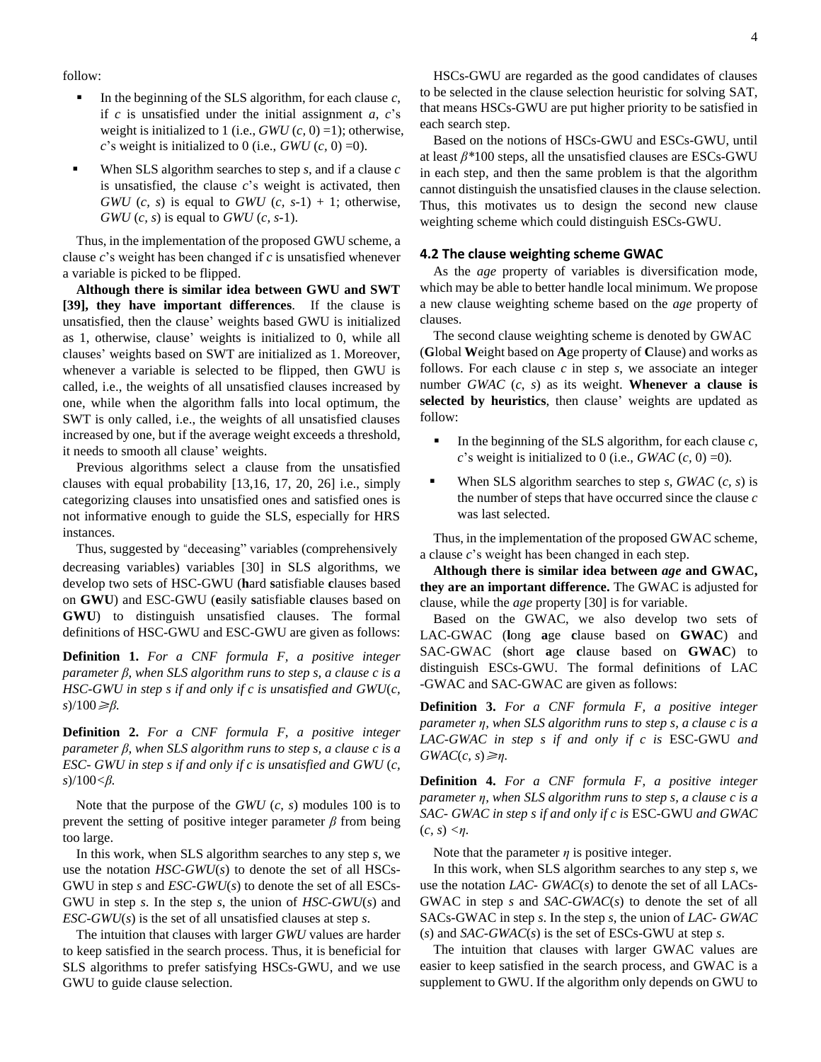follow:

- $\blacksquare$  In the beginning of the SLS algorithm, for each clause *c*, if *c* is unsatisfied under the initial assignment *a*, *c*'s weight is initialized to 1 (i.e.,  $GWU(c, 0) = 1$ ); otherwise, *c*'s weight is initialized to 0 (i.e., *GWU*  $(c, 0) = 0$ ).
- When SLS algorithm searches to step *s*, and if a clause *c* is unsatisfied, the clause *c*'s weight is activated, then *GWU* (*c*, *s*) is equal to *GWU* (*c*, *s*-1) + 1; otherwise, *GWU* (*c, s*) is equal to *GWU* (*c, s-*1).

Thus, in the implementation of the proposed GWU scheme, a clause *c*'s weight has been changed if *c* is unsatisfied whenever a variable is picked to be flipped.

**Although there is similar idea between GWU and SWT [39], they have important differences**. If the clause is unsatisfied, then the clause' weights based GWU is initialized as 1, otherwise, clause' weights is initialized to 0, while all clauses' weights based on SWT are initialized as 1. Moreover, whenever a variable is selected to be flipped, then GWU is called, i.e., the weights of all unsatisfied clauses increased by one, while when the algorithm falls into local optimum, the SWT is only called, i.e., the weights of all unsatisfied clauses increased by one, but if the average weight exceeds a threshold, it needs to smooth all clause' weights.

Previous algorithms select a clause from the unsatisfied clauses with equal probability [13,16, 17, 20, 26] i.e., simply categorizing clauses into unsatisfied ones and satisfied ones is not informative enough to guide the SLS, especially for HRS instances.

Thus, suggested by "deceasing" variables (comprehensively decreasing variables) variables [30] in SLS algorithms, we develop two sets of HSC-GWU (**h**ard **s**atisfiable **c**lauses based on **GWU**) and ESC-GWU (**e**asily **s**atisfiable **c**lauses based on **GWU**) to distinguish unsatisfied clauses. The formal definitions of HSC-GWU and ESC-GWU are given as follows:

**Definition 1.** *For a CNF formula F, a positive integer parameter β, when SLS algorithm runs to step s, a clause c is a HSC-GWU in step s if and only if c is unsatisfied and GWU*(*c, s*)/100≥*β.*

**Definition 2.** *For a CNF formula F, a positive integer parameter β, when SLS algorithm runs to step s, a clause c is a ESC- GWU in step s if and only if c is unsatisfied and GWU* (*c, s*)/100*<β.*

Note that the purpose of the *GWU* (*c, s*) modules 100 is to prevent the setting of positive integer parameter *β* from being too large.

In this work, when SLS algorithm searches to any step *s*, we use the notation *HSC-GWU*(*s*) to denote the set of all HSCs-GWU in step *s* and *ESC-GWU*(*s*) to denote the set of all ESCs-GWU in step *s*. In the step *s*, the union of *HSC-GWU*(*s*) and *ESC-GWU*(*s*) is the set of all unsatisfied clauses at step *s*.

The intuition that clauses with larger *GWU* values are harder to keep satisfied in the search process. Thus, it is beneficial for SLS algorithms to prefer satisfying HSCs-GWU, and we use GWU to guide clause selection.

HSCs-GWU are regarded as the good candidates of clauses to be selected in the clause selection heuristic for solving SAT, that means HSCs-GWU are put higher priority to be satisfied in each search step.

Based on the notions of HSCs-GWU and ESCs-GWU, until at least *β\**100 steps, all the unsatisfied clauses are ESCs-GWU in each step, and then the same problem is that the algorithm cannot distinguish the unsatisfied clauses in the clause selection. Thus, this motivates us to design the second new clause weighting scheme which could distinguish ESCs-GWU.

#### **4.2 The clause weighting scheme GWAC**

As the *age* property of variables is diversification mode, which may be able to better handle local minimum. We propose a new clause weighting scheme based on the *age* property of clauses.

The second clause weighting scheme is denoted by GWAC (**G**lobal **W**eight based on **A**ge property of **C**lause) and works as follows. For each clause *c* in step *s*, we associate an integer number *GWAC*  $(c, s)$  as its weight. **Whenever a clause is selected by heuristics**, then clause' weights are updated as follow:

- In the beginning of the SLS algorithm, for each clause *c*, *c*'s weight is initialized to 0 (i.e., *GWAC* (*c*, 0) =0).
- When SLS algorithm searches to step  $s$ , *GWAC* ( $c$ ,  $s$ ) is the number of steps that have occurred since the clause *c* was last selected.

Thus, in the implementation of the proposed GWAC scheme, a clause *c*'s weight has been changed in each step.

**Although there is similar idea between** *age* **and GWAC, they are an important difference.** The GWAC is adjusted for clause, while the *age* property [30] is for variable.

Based on the GWAC, we also develop two sets of LAC-GWAC (**l**ong **a**ge **c**lause based on **GWAC**) and SAC-GWAC (**s**hort **a**ge **c**lause based on **GWAC**) to distinguish ESCs-GWU. The formal definitions of LAC -GWAC and SAC-GWAC are given as follows:

**Definition 3.** *For a CNF formula F, a positive integer parameter η, when SLS algorithm runs to step s, a clause c is a LAC-GWAC in step s if and only if c is* ESC-GWU *and*   $GWAC(c, s) \geq \eta$ .

**Definition 4.** *For a CNF formula F, a positive integer parameter η, when SLS algorithm runs to step s, a clause c is a SAC- GWAC in step s if and only if c is* ESC-GWU *and GWAC* (*c, s*) *<η.*

Note that the parameter  $\eta$  is positive integer.

In this work, when SLS algorithm searches to any step *s*, we use the notation *LAC- GWAC*(*s*) to denote the set of all LACs-GWAC in step *s* and *SAC-GWAC*(*s*) to denote the set of all SACs-GWAC in step *s*. In the step *s*, the union of *LAC- GWAC* (*s*) and *SAC-GWAC*(*s*) is the set of ESCs-GWU at step *s*.

The intuition that clauses with larger GWAC values are easier to keep satisfied in the search process, and GWAC is a supplement to GWU. If the algorithm only depends on GWU to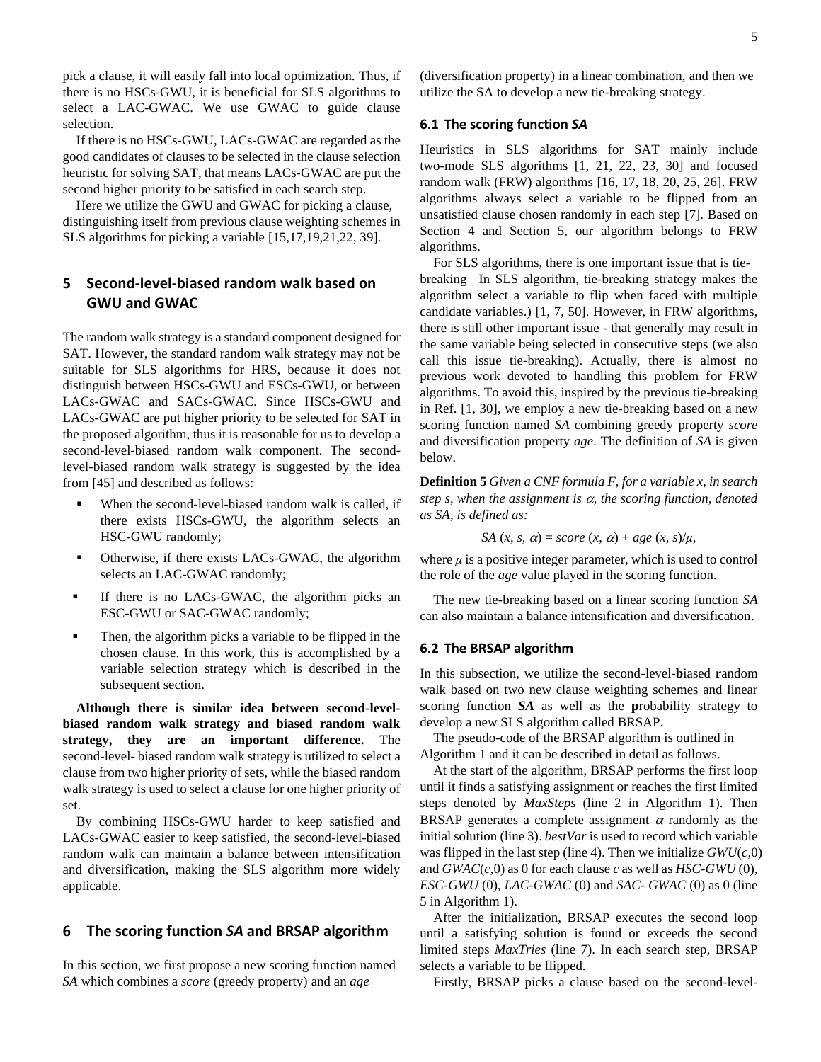pick a clause, it will easily fall into local optimization. Thus, if there is no HSCs-GWU, it is beneficial for SLS algorithms to select a LAC-GWAC. We use GWAC to guide clause selection.

If there is no HSCs-GWU, LACs-GWAC are regarded as the good candidates of clauses to be selected in the clause selection heuristic for solving SAT, that means LACs-GWAC are put the second higher priority to be satisfied in each search step.

Here we utilize the GWU and GWAC for picking a clause, distinguishing itself from previous clause weighting schemes in SLS algorithms for picking a variable [15,17,19,21,22, 39].

# **5 Second-level-biased random walk based on GWU and GWAC**

The random walk strategy is a standard component designed for SAT. However, the standard random walk strategy may not be suitable for SLS algorithms for HRS, because it does not distinguish between HSCs-GWU and ESCs-GWU, or between LACs-GWAC and SACs-GWAC. Since HSCs-GWU and LACs-GWAC are put higher priority to be selected for SAT in the proposed algorithm, thus it is reasonable for us to develop a second-level-biased random walk component. The secondlevel-biased random walk strategy is suggested by the idea from [45] and described as follows:

- When the second-level-biased random walk is called, if there exists HSCs-GWU, the algorithm selects an HSC-GWU randomly;
- Otherwise, if there exists LACs-GWAC, the algorithm selects an LAC-GWAC randomly;
- If there is no LACs-GWAC, the algorithm picks an ESC-GWU or SAC-GWAC randomly;
- Then, the algorithm picks a variable to be flipped in the chosen clause. In this work, this is accomplished by a variable selection strategy which is described in the subsequent section.

**Although there is similar idea between second-levelbiased random walk strategy and biased random walk strategy, they are an important difference.** The second-level- biased random walk strategy is utilized to select a clause from two higher priority of sets, while the biased random walk strategy is used to select a clause for one higher priority of set.

By combining HSCs-GWU harder to keep satisfied and LACs-GWAC easier to keep satisfied, the second-level-biased random walk can maintain a balance between intensification and diversification, making the SLS algorithm more widely applicable.

# **6 The scoring function** *SA* **and BRSAP algorithm**

In this section, we first propose a new scoring function named *SA* which combines a *score* (greedy property) and an *age*

(diversification property) in a linear combination, and then we utilize the SA to develop a new tie-breaking strategy.

# **6.1 The scoring function** *SA*

Heuristics in SLS algorithms for SAT mainly include two-mode SLS algorithms [1, 21, 22, 23, 30] and focused random walk (FRW) algorithms [16, 17, 18, 20, 25, 26]. FRW algorithms always select a variable to be flipped from an unsatisfied clause chosen randomly in each step [7]. Based on Section 4 and Section 5, our algorithm belongs to FRW algorithms.

For SLS algorithms, there is one important issue that is tiebreaking –In SLS algorithm, tie-breaking strategy makes the algorithm select a variable to flip when faced with multiple candidate variables.) [1, 7, 50]. However, in FRW algorithms, there is still other important issue - that generally may result in the same variable being selected in consecutive steps (we also call this issue tie-breaking). Actually, there is almost no previous work devoted to handling this problem for FRW algorithms. To avoid this, inspired by the previous tie-breaking in Ref. [1, 30], we employ a new tie-breaking based on a new scoring function named *SA* combining greedy property *score* and diversification property *age*. The definition of *SA* is given below.

**Definition 5** *Given a CNF formula F, for a variable x*, *in search step s, when the assignment is*  $\alpha$ *, the scoring function, denoted as SA, is defined as:*

$$
SA(x, s, \alpha) = score(x, \alpha) + age(x, s)/\mu,
$$

where  $\mu$  is a positive integer parameter, which is used to control the role of the *age* value played in the scoring function.

The new tie-breaking based on a linear scoring function *SA* can also maintain a balance intensification and diversification.

# **6.2 The BRSAP algorithm**

In this subsection, we utilize the second-level-**b**iased **r**andom walk based on two new clause weighting schemes and linear scoring function *SA* as well as the **p**robability strategy to develop a new SLS algorithm called BRSAP.

The pseudo-code of the BRSAP algorithm is outlined in Algorithm 1 and it can be described in detail as follows.

At the start of the algorithm, BRSAP performs the first loop until it finds a satisfying assignment or reaches the first limited steps denoted by *MaxSteps* (line 2 in Algorithm 1). Then BRSAP generates a complete assignment  $\alpha$  randomly as the initial solution (line 3). *bestVar* is used to record which variable was flipped in the last step (line 4). Then we initialize  $GWU(c,0)$ and *GWAC*(*c*,0) as 0 for each clause *c* as well as *HSC-GWU* (0), *ESC-GWU* (0), *LAC-GWAC* (0) and *SAC- GWAC* (0) as 0 (line 5 in Algorithm 1).

After the initialization, BRSAP executes the second loop until a satisfying solution is found or exceeds the second limited steps *MaxTries* (line 7). In each search step, BRSAP selects a variable to be flipped.

Firstly, BRSAP picks a clause based on the second-level-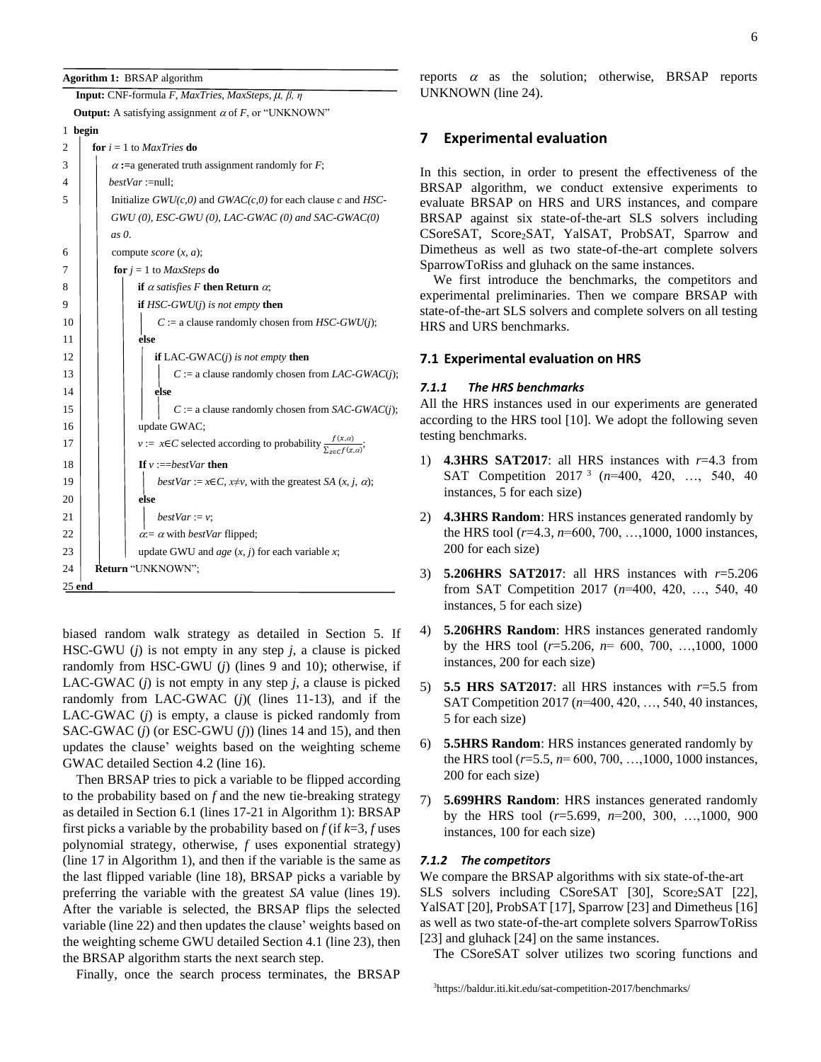**Agorithm 1:** BRSAP algorithm

|         | <b>Input:</b> CNF-formula F, MaxTries, MaxSteps, $\mu$ , $\beta$ , $\eta$                             |  |  |  |  |  |  |  |  |
|---------|-------------------------------------------------------------------------------------------------------|--|--|--|--|--|--|--|--|
|         | <b>Output:</b> A satisfying assignment $\alpha$ of F, or "UNKNOWN"                                    |  |  |  |  |  |  |  |  |
| 1 begin |                                                                                                       |  |  |  |  |  |  |  |  |
| 2       | for $i = 1$ to <i>MaxTries</i> do                                                                     |  |  |  |  |  |  |  |  |
| 3       | $\alpha$ := a generated truth assignment randomly for F;                                              |  |  |  |  |  |  |  |  |
| 4       | $bestVar := null;$                                                                                    |  |  |  |  |  |  |  |  |
| 5       | Initialize $GWU(c,0)$ and $GWAC(c,0)$ for each clause c and HSC-                                      |  |  |  |  |  |  |  |  |
|         | $GWU(0)$ , ESC-GWU $(0)$ , LAC-GWAC $(0)$ and SAC-GWAC $(0)$                                          |  |  |  |  |  |  |  |  |
|         | as 0.                                                                                                 |  |  |  |  |  |  |  |  |
| 6       | compute <i>score</i> $(x, a)$ ;                                                                       |  |  |  |  |  |  |  |  |
| 7       | <b>for</b> $j = 1$ to <i>MaxSteps</i> <b>do</b>                                                       |  |  |  |  |  |  |  |  |
| 8       | if $\alpha$ satisfies F then Return $\alpha$ ;                                                        |  |  |  |  |  |  |  |  |
| 9       | if $HSC-GWU(j)$ is not empty then                                                                     |  |  |  |  |  |  |  |  |
| 10      | $C := a$ clause randomly chosen from HSC-GWU(j);                                                      |  |  |  |  |  |  |  |  |
| 11      | else                                                                                                  |  |  |  |  |  |  |  |  |
| 12      | <b>if</b> LAC-GWAC $(i)$ is not empty <b>then</b>                                                     |  |  |  |  |  |  |  |  |
| 13      | $C :=$ a clause randomly chosen from LAC-GWAC(j);                                                     |  |  |  |  |  |  |  |  |
| 14      | else                                                                                                  |  |  |  |  |  |  |  |  |
| 15      | $C :=$ a clause randomly chosen from $SAC-GWAC(j)$ ;                                                  |  |  |  |  |  |  |  |  |
| 16      | update GWAC;                                                                                          |  |  |  |  |  |  |  |  |
| 17      | $v := x \in C$ selected according to probability $\frac{f(x, \alpha)}{\sum_{x \in C} f(x, \alpha)}$ ; |  |  |  |  |  |  |  |  |
| 18      | If $v := = bestVar$ then                                                                              |  |  |  |  |  |  |  |  |
| 19      | bestVar := $x \in C$ , $x \neq v$ , with the greatest SA $(x, j, \alpha)$ ;                           |  |  |  |  |  |  |  |  |
| 20      | else                                                                                                  |  |  |  |  |  |  |  |  |
| 21      | $bestVar := v$ ;                                                                                      |  |  |  |  |  |  |  |  |
| 22      | $\alpha = \alpha$ with <i>bestVar</i> flipped;                                                        |  |  |  |  |  |  |  |  |
| 23      | update GWU and <i>age</i> $(x, j)$ for each variable x;                                               |  |  |  |  |  |  |  |  |
| 24      | Return "UNKNOWN";                                                                                     |  |  |  |  |  |  |  |  |
| 25 end  |                                                                                                       |  |  |  |  |  |  |  |  |

biased random walk strategy as detailed in Section 5. If HSC-GWU (*j*) is not empty in any step *j*, a clause is picked randomly from HSC-GWU (*j*) (lines 9 and 10); otherwise, if LAC-GWAC (*j*) is not empty in any step *j*, a clause is picked randomly from LAC-GWAC (*j*)( (lines 11-13), and if the LAC-GWAC (*j*) is empty, a clause is picked randomly from SAC-GWAC (*j*) (or ESC-GWU (*j*)) (lines 14 and 15), and then updates the clause' weights based on the weighting scheme GWAC detailed Section 4.2 (line 16).

Then BRSAP tries to pick a variable to be flipped according to the probability based on *f* and the new tie-breaking strategy as detailed in Section 6.1 (lines 17-21 in Algorithm 1): BRSAP first picks a variable by the probability based on  $f$  (if  $k=3$ ,  $f$  uses polynomial strategy, otherwise, *f* uses exponential strategy) (line 17 in Algorithm 1), and then if the variable is the same as the last flipped variable (line 18), BRSAP picks a variable by preferring the variable with the greatest *SA* value (lines 19). After the variable is selected, the BRSAP flips the selected variable (line 22) and then updates the clause' weights based on the weighting scheme GWU detailed Section 4.1 (line 23), then the BRSAP algorithm starts the next search step.

Finally, once the search process terminates, the BRSAP

reports  $\alpha$  as the solution; otherwise, BRSAP reports UNKNOWN (line 24).

# **7 Experimental evaluation**

In this section, in order to present the effectiveness of the BRSAP algorithm, we conduct extensive experiments to evaluate BRSAP on HRS and URS instances, and compare BRSAP against six state-of-the-art SLS solvers including CSoreSAT, Score<sub>2</sub>SAT, YalSAT, ProbSAT, Sparrow and Dimetheus as well as two state-of-the-art complete solvers SparrowToRiss and gluhack on the same instances.

We first introduce the benchmarks, the competitors and experimental preliminaries. Then we compare BRSAP with state-of-the-art SLS solvers and complete solvers on all testing HRS and URS benchmarks.

## **7.1 Experimental evaluation on HRS**

#### *7.1.1 The HRS benchmarks*

All the HRS instances used in our experiments are generated according to the HRS tool [10]. We adopt the following seven testing benchmarks.

- 1) **4.3HRS SAT2017**: all HRS instances with *r*=4.3 from SAT Competition 2017 <sup>3</sup> (*n*=400, 420, …, 540, 40 instances, 5 for each size)
- 2) **4.3HRS Random**: HRS instances generated randomly by the HRS tool (*r*=4.3, *n*=600, 700, …,1000, 1000 instances, 200 for each size)
- 3) **5.206HRS SAT2017**: all HRS instances with *r*=5.206 from SAT Competition 2017 (*n*=400, 420, …, 540, 40 instances, 5 for each size)
- 4) **5.206HRS Random**: HRS instances generated randomly by the HRS tool (*r*=5.206, *n*= 600, 700, …,1000, 1000 instances, 200 for each size)
- 5) **5.5 HRS SAT2017**: all HRS instances with *r*=5.5 from SAT Competition 2017 (*n*=400, 420, …, 540, 40 instances, 5 for each size)
- 6) **5.5HRS Random**: HRS instances generated randomly by the HRS tool (*r*=5.5, *n*= 600, 700, …,1000, 1000 instances, 200 for each size)
- 7) **5.699HRS Random**: HRS instances generated randomly by the HRS tool (*r*=5.699, *n*=200, 300, …,1000, 900 instances, 100 for each size)

# *7.1.2 The competitors*

We compare the BRSAP algorithms with six state-of-the-art SLS solvers including CSoreSAT [30], Score2SAT [22], YalSAT [20], ProbSAT [17], Sparrow [23] and Dimetheus [16] as well as two state-of-the-art complete solvers SparrowToRiss [23] and gluhack [24] on the same instances.

The CSoreSAT solver utilizes two scoring functions and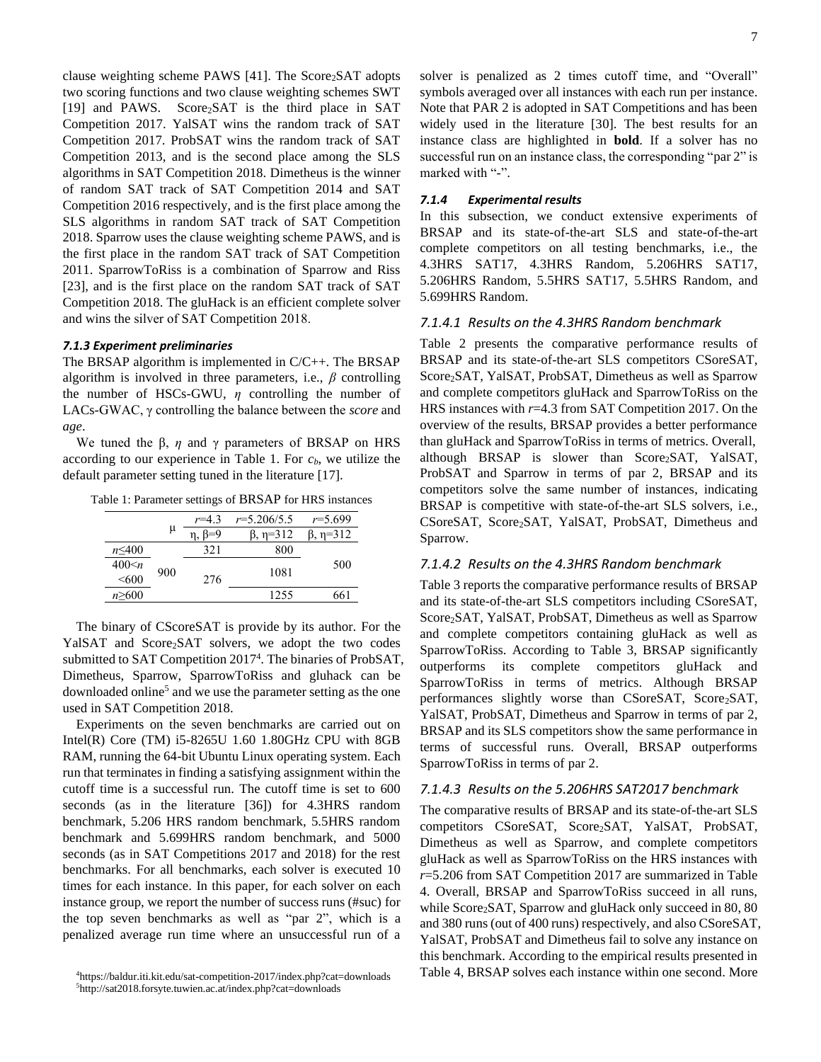clause weighting scheme PAWS [41]. The Score<sub>2</sub>SAT adopts two scoring functions and two clause weighting schemes SWT [19] and PAWS. Score<sub>2</sub>SAT is the third place in SAT Competition 2017. YalSAT wins the random track of SAT Competition 2017. ProbSAT wins the random track of SAT Competition 2013, and is the second place among the SLS algorithms in SAT Competition 2018. Dimetheus is the winner of random SAT track of SAT Competition 2014 and SAT Competition 2016 respectively, and is the first place among the SLS algorithms in random SAT track of SAT Competition 2018. Sparrow uses the clause weighting scheme PAWS, and is the first place in the random SAT track of SAT Competition 2011. SparrowToRiss is a combination of Sparrow and Riss [23], and is the first place on the random SAT track of SAT Competition 2018. The gluHack is an efficient complete solver and wins the silver of SAT Competition 2018.

#### *7.1.3 Experiment preliminaries*

The BRSAP algorithm is implemented in C/C++. The BRSAP algorithm is involved in three parameters, i.e., *β* controlling the number of HSCs-GWU,  $\eta$  controlling the number of LACs-GWAC, γ controlling the balance between the *score* and *age*.

We tuned the  $β$ ,  $η$  and  $γ$  parameters of BRSAP on HRS according to our experience in Table 1. For *cb*, we utilize the default parameter setting tuned in the literature [17].

Table 1: Parameter settings of BRSAP for HRS instances

|              |     | $r = 4.3$            | $r = 5.206/5.5$ | $r = 5.699$ |
|--------------|-----|----------------------|-----------------|-------------|
|              | μ   | $\eta$ , $\beta = 9$ | $β, η=312$      | $β, η=312$  |
| n<400        |     | 321                  | 800             |             |
| 400 $\leq n$ | 900 |                      | 1081            | 500         |
| <600         |     | 276                  |                 |             |
| $n \geq 600$ |     |                      | 1255            | 661         |

The binary of CScoreSAT is provide by its author. For the YalSAT and Score<sub>2</sub>SAT solvers, we adopt the two codes submitted to SAT Competition 2017<sup>4</sup>. The binaries of ProbSAT, Dimetheus, Sparrow, SparrowToRiss and gluhack can be downloaded online<sup>5</sup> and we use the parameter setting as the one used in SAT Competition 2018.

Experiments on the seven benchmarks are carried out on Intel(R) Core (TM) i5-8265U 1.60 1.80GHz CPU with 8GB RAM, running the 64-bit Ubuntu Linux operating system. Each run that terminates in finding a satisfying assignment within the cutoff time is a successful run. The cutoff time is set to 600 seconds (as in the literature [36]) for 4.3HRS random benchmark, 5.206 HRS random benchmark, 5.5HRS random benchmark and 5.699HRS random benchmark, and 5000 seconds (as in SAT Competitions 2017 and 2018) for the rest benchmarks. For all benchmarks, each solver is executed 10 times for each instance. In this paper, for each solver on each instance group, we report the number of success runs (#suc) for the top seven benchmarks as well as "par 2", which is a penalized average run time where an unsuccessful run of a

solver is penalized as 2 times cutoff time, and "Overall" symbols averaged over all instances with each run per instance. Note that PAR 2 is adopted in SAT Competitions and has been widely used in the literature [30]. The best results for an instance class are highlighted in **bold**. If a solver has no successful run on an instance class, the corresponding "par 2" is marked with "-".

# *7.1.4 Experimental results*

In this subsection, we conduct extensive experiments of BRSAP and its state-of-the-art SLS and state-of-the-art complete competitors on all testing benchmarks, i.e., the 4.3HRS SAT17, 4.3HRS Random, 5.206HRS SAT17, 5.206HRS Random, 5.5HRS SAT17, 5.5HRS Random, and 5.699HRS Random.

# *7.1.4.1 Results on the 4.3HRS Random benchmark*

Table 2 presents the comparative performance results of BRSAP and its state-of-the-art SLS competitors CSoreSAT, Score<sub>2</sub>SAT, YalSAT, ProbSAT, Dimetheus as well as Sparrow and complete competitors gluHack and SparrowToRiss on the HRS instances with  $r=4.3$  from SAT Competition 2017. On the overview of the results, BRSAP provides a better performance than gluHack and SparrowToRiss in terms of metrics. Overall, although BRSAP is slower than Score<sub>2</sub>SAT, YalSAT, ProbSAT and Sparrow in terms of par 2, BRSAP and its competitors solve the same number of instances, indicating BRSAP is competitive with state-of-the-art SLS solvers, i.e., CSoreSAT, Score2SAT, YalSAT, ProbSAT, Dimetheus and Sparrow.

#### *7.1.4.2 Results on the 4.3HRS Random benchmark*

Table 3 reports the comparative performance results of BRSAP and its state-of-the-art SLS competitors including CSoreSAT, Score2SAT, YalSAT, ProbSAT, Dimetheus as well as Sparrow and complete competitors containing gluHack as well as SparrowToRiss. According to Table 3, BRSAP significantly outperforms its complete competitors gluHack and SparrowToRiss in terms of metrics. Although BRSAP performances slightly worse than CSoreSAT, Score<sub>2</sub>SAT, YalSAT, ProbSAT, Dimetheus and Sparrow in terms of par 2, BRSAP and its SLS competitors show the same performance in terms of successful runs. Overall, BRSAP outperforms SparrowToRiss in terms of par 2.

# *7.1.4.3 Results on the 5.206HRS SAT2017 benchmark*

The comparative results of BRSAP and its state-of-the-art SLS competitors CSoreSAT, Score2SAT, YalSAT, ProbSAT, Dimetheus as well as Sparrow, and complete competitors gluHack as well as SparrowToRiss on the HRS instances with *r*=5.206 from SAT Competition 2017 are summarized in Table 4. Overall, BRSAP and SparrowToRiss succeed in all runs, while Score<sub>2</sub>SAT, Sparrow and gluHack only succeed in 80, 80 and 380 runs (out of 400 runs) respectively, and also CSoreSAT, YalSAT, ProbSAT and Dimetheus fail to solve any instance on this benchmark. According to the empirical results presented in Table 4, BRSAP solves each instance within one second. More

<sup>4</sup>https://baldur.iti.kit.edu/sat-competition-2017/index.php?cat=downloads <sup>5</sup>http://sat2018.forsyte.tuwien.ac.at/index.php?cat=downloads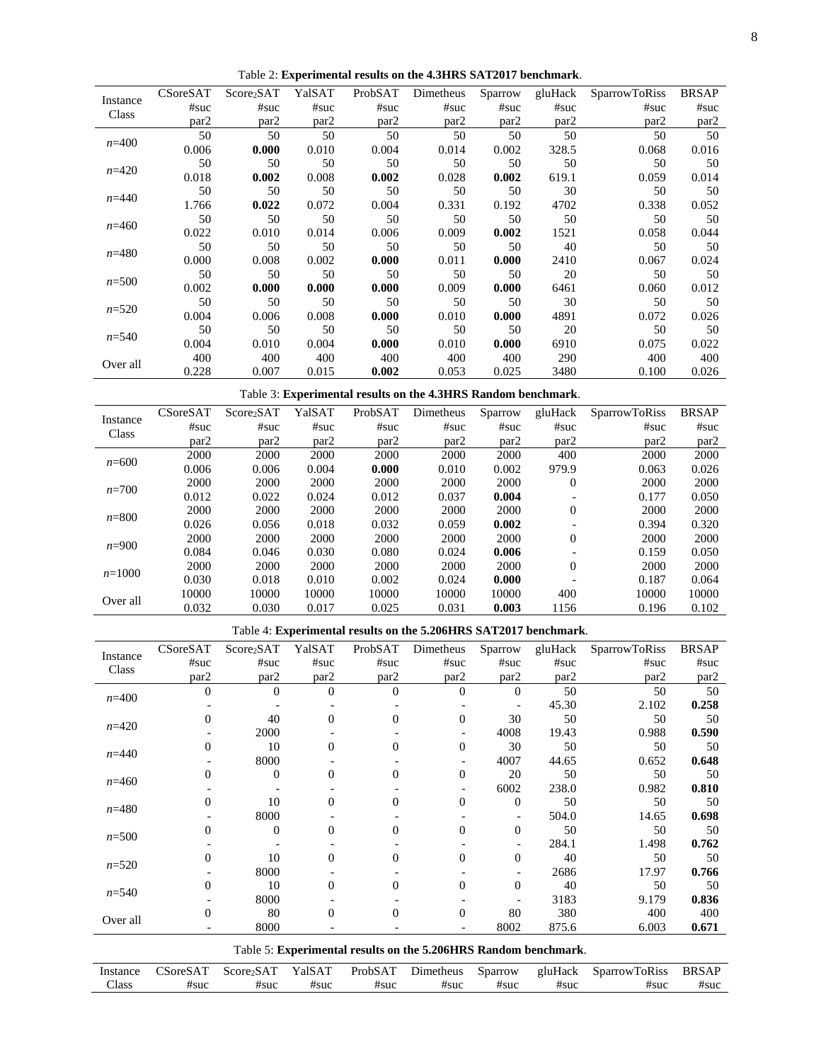Table 2: **Experimental results on the 4.3HRS SAT2017 benchmark**.

|           | <b>CSoreSAT</b> | Score <sub>2</sub> SAT | YalSAT           | ProbSAT          | Dimetheus        | Sparrow | gluHack          | <b>SparrowToRiss</b> | <b>BRSAP</b>     |
|-----------|-----------------|------------------------|------------------|------------------|------------------|---------|------------------|----------------------|------------------|
| Instance  | $#$ suc         | #succ                  | $#$ suc          | $#$ suc          | #succ            | $#$ suc | $#$ suc          | #succ                | $#$ suc          |
| Class     | par2            | par <sub>2</sub>       | par <sub>2</sub> | par <sub>2</sub> | par <sub>2</sub> | par2    | par <sub>2</sub> | par <sub>2</sub>     | par <sub>2</sub> |
|           | 50              | 50                     | 50               | 50               | 50               | 50      | 50               | 50                   | 50               |
| $n = 400$ | 0.006           | 0.000                  | 0.010            | 0.004            | 0.014            | 0.002   | 328.5            | 0.068                | 0.016            |
|           | 50              | 50                     | 50               | 50               | 50               | 50      | 50               | 50                   | 50               |
| $n = 420$ | 0.018           | 0.002                  | 0.008            | 0.002            | 0.028            | 0.002   | 619.1            | 0.059                | 0.014            |
|           | 50              | 50                     | 50               | 50               | 50               | 50      | 30               | 50                   | 50               |
| $n = 440$ | 1.766           | 0.022                  | 0.072            | 0.004            | 0.331            | 0.192   | 4702             | 0.338                | 0.052            |
|           | 50              | 50                     | 50               | 50               | 50               | 50      | 50               | 50                   | 50               |
| $n = 460$ | 0.022           | 0.010                  | 0.014            | 0.006            | 0.009            | 0.002   | 1521             | 0.058                | 0.044            |
|           | 50              | 50                     | 50               | 50               | 50               | 50      | 40               | 50                   | 50               |
| $n = 480$ | 0.000           | 0.008                  | 0.002            | 0.000            | 0.011            | 0.000   | 2410             | 0.067                | 0.024            |
|           | 50              | 50                     | 50               | 50               | 50               | 50      | 20               | 50                   | 50               |
| $n = 500$ | 0.002           | 0.000                  | 0.000            | 0.000            | 0.009            | 0.000   | 6461             | 0.060                | 0.012            |
|           | 50              | 50                     | 50               | 50               | 50               | 50      | 30               | 50                   | 50               |
| $n = 520$ | 0.004           | 0.006                  | 0.008            | 0.000            | 0.010            | 0.000   | 4891             | 0.072                | 0.026            |
|           | 50              | 50                     | 50               | 50               | 50               | 50      | 20               | 50                   | 50               |
| $n = 540$ | 0.004           | 0.010                  | 0.004            | 0.000            | 0.010            | 0.000   | 6910             | 0.075                | 0.022            |
|           | 400             | 400                    | 400              | 400              | 400              | 400     | 290              | 400                  | 400              |
| Over all  | 0.228           | 0.007                  | 0.015            | 0.002            | 0.053            | 0.025   | 3480             | 0.100                | 0.026            |

# Table 3: **Experimental results on the 4.3HRS Random benchmark**.

|                   | <b>CSoreSAT</b> | Score <sub>2</sub> SAT | YalSAT  | ProbSAT | Dimetheus | Sparrow          | gluHack        | <b>SparrowToRiss</b> | <b>BRSAP</b>     |
|-------------------|-----------------|------------------------|---------|---------|-----------|------------------|----------------|----------------------|------------------|
| Instance<br>Class | $#$ suc         | $#$ suc                | $#$ suc | $#$ suc | #succ     | #succ            | $#$ suc        | $#$ suc              | $#$ suc          |
|                   | par2            | par2                   | par2    | par2    | par2      | par <sub>2</sub> | par2           | par2                 | par <sub>2</sub> |
| $n = 600$         | 2000            | 2000                   | 2000    | 2000    | 2000      | 2000             | 400            | 2000                 | 2000             |
|                   | 0.006           | 0.006                  | 0.004   | 0.000   | 0.010     | 0.002            | 979.9          | 0.063                | 0.026            |
| $n = 700$         | 2000            | 2000                   | 2000    | 2000    | 2000      | 2000             | $\Omega$       | 2000                 | 2000             |
|                   | 0.012           | 0.022                  | 0.024   | 0.012   | 0.037     | 0.004            |                | 0.177                | 0.050            |
| $n = 800$         | 2000            | 2000                   | 2000    | 2000    | 2000      | 2000             | $\theta$       | 2000                 | 2000             |
|                   | 0.026           | 0.056                  | 0.018   | 0.032   | 0.059     | 0.002            |                | 0.394                | 0.320            |
| $n = 900$         | 2000            | 2000                   | 2000    | 2000    | 2000      | 2000             | $\theta$       | 2000                 | 2000             |
|                   | 0.084           | 0.046                  | 0.030   | 0.080   | 0.024     | 0.006            |                | 0.159                | 0.050            |
| $n=1000$          | 2000            | 2000                   | 2000    | 2000    | 2000      | 2000             | $\overline{0}$ | 2000                 | 2000             |
|                   | 0.030           | 0.018                  | 0.010   | 0.002   | 0.024     | 0.000            |                | 0.187                | 0.064            |
| Over all          | 10000           | 10000                  | 10000   | 10000   | 10000     | 10000            | 400            | 10000                | 10000            |
|                   | 0.032           | 0.030                  | 0.017   | 0.025   | 0.031     | 0.003            | 1156           | 0.196                | 0.102            |

|           | <b>CSoreSAT</b> | Score <sub>2</sub> SAT | YalSAT   | ProbSAT  | Dimetheus                                                       | Sparrow        | gluHack | <b>SparrowToRiss</b> | <b>BRSAP</b>     |
|-----------|-----------------|------------------------|----------|----------|-----------------------------------------------------------------|----------------|---------|----------------------|------------------|
| Instance  | $#$ suc         | $#$ suc                | $#$ suc  | $#$ suc  | #succ                                                           | $#$ suc        | $#$ suc | $#$ suc              | $#$ suc          |
| Class     |                 |                        |          |          |                                                                 |                |         |                      |                  |
|           | par2            | par <sub>2</sub>       | par2     | par2     | par <sub>2</sub>                                                | par2           | par2    | par2                 | par <sub>2</sub> |
| $n = 400$ | $\Omega$        | $\Omega$               | $\Omega$ | $\Omega$ | $\Omega$                                                        | $\Omega$       | 50      | 50                   | 50               |
|           |                 |                        |          |          |                                                                 |                | 45.30   | 2.102                | 0.258            |
|           |                 | 40                     | 0        |          | $_{0}$                                                          | 30             | 50      | 50                   | 50               |
| $n = 420$ |                 | 2000                   |          |          |                                                                 | 4008           | 19.43   | 0.988                | 0.590            |
| $n = 440$ |                 | 10                     | 0        |          | 0                                                               | 30             | 50      | 50                   | 50               |
|           |                 | 8000                   |          |          |                                                                 | 4007           | 44.65   | 0.652                | 0.648            |
|           |                 | 0                      | 0        |          | 0                                                               | 20             | 50      | 50                   | 50               |
| $n=460$   |                 |                        |          |          |                                                                 | 6002           | 238.0   | 0.982                | 0.810            |
|           |                 | 10                     | 0        |          | 0                                                               | $\Omega$       | 50      | 50                   | 50               |
| $n = 480$ |                 | 8000                   |          |          |                                                                 |                | 504.0   | 14.65                | 0.698            |
|           |                 | 0                      | 0        |          |                                                                 | 0              | 50      | 50                   | 50               |
| $n = 500$ |                 |                        |          |          |                                                                 |                | 284.1   | 1.498                | 0.762            |
| $n = 520$ |                 | 10                     | 0        | 0        | 0                                                               | $\overline{0}$ | 40      | 50                   | 50               |
|           |                 | 8000                   |          |          |                                                                 |                | 2686    | 17.97                | 0.766            |
|           |                 | 10                     | 0        | 0        | 0                                                               | $\mathbf{0}$   | 40      | 50                   | 50               |
| $n = 540$ |                 | 8000                   |          |          |                                                                 |                | 3183    | 9.179                | 0.836            |
|           |                 | 80                     | 0        | 0        | 0                                                               | 80             | 380     | 400                  | 400              |
| Over all  |                 | 8000                   |          |          |                                                                 | 8002           | 875.6   | 6.003                | 0.671            |
|           |                 |                        |          |          | Table 5: Experimental results on the 5.206HRS Random benchmark. |                |         |                      |                  |

| Instance       | <b>CSoreSAT</b> | Score <sub>2</sub> SAT | YalSAT | ProbSAT | Dimetheus | Sparrow |       | gluHack SparrowToRiss | <b>BRSAP</b> |
|----------------|-----------------|------------------------|--------|---------|-----------|---------|-------|-----------------------|--------------|
| $\text{Class}$ | #suc            | #suc                   | #suc   | $#$ suc | $#$ suc   | #suc    | #succ | $#$ suc               | $#$ suc      |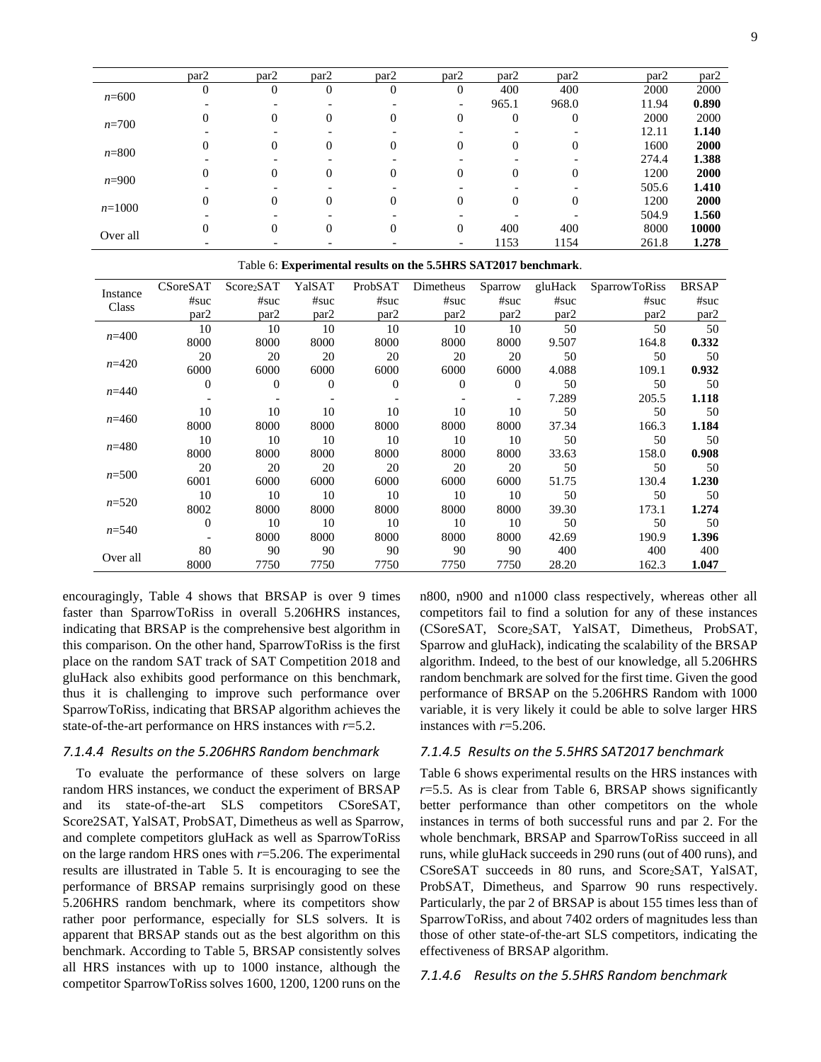|           | par <sub>2</sub> | par2     | par2         | par2     | par <sub>2</sub> | par2             | par <sub>2</sub>         | par2  | par2  |
|-----------|------------------|----------|--------------|----------|------------------|------------------|--------------------------|-------|-------|
| $n = 600$ |                  | 0        | $\mathbf{0}$ | $\Omega$ | 0                | 400              | 400                      | 2000  | 2000  |
|           |                  |          |              |          |                  | 965.1            | 968.0                    | 11.94 | 0.890 |
| $n = 700$ |                  | $\Omega$ | 0            | $\Omega$ | $\Omega$         | $\boldsymbol{0}$ | 0                        | 2000  | 2000  |
|           |                  |          |              |          |                  |                  | $\overline{\phantom{0}}$ | 12.11 | 1.140 |
| $n = 800$ |                  | $\Omega$ | 0            | 0        | $\Omega$         | 0                | 0                        | 1600  | 2000  |
|           |                  |          |              |          |                  |                  |                          | 274.4 | 1.388 |
| $n = 900$ |                  | $\Omega$ | 0            | 0        | $\Omega$         | 0                | 0                        | 1200  | 2000  |
|           |                  |          |              |          |                  |                  | $\overline{\phantom{0}}$ | 505.6 | 1.410 |
|           |                  | $\Omega$ | 0            | 0        | $\Omega$         | 0                | 0                        | 1200  | 2000  |
| $n=1000$  |                  |          |              |          |                  |                  |                          | 504.9 | 1.560 |
| Over all  |                  | $\Omega$ | 0            | 0        | $\Omega$         | 400              | 400                      | 8000  | 10000 |
|           |                  |          |              |          |                  | 1153             | 1154                     | 261.8 | 1.278 |

| Instance  | CSoreSAT | Score <sub>2</sub> SAT | YalSAT   | ProbSAT  | Dimetheus | Sparrow                  | gluHack | <b>SparrowToRiss</b> | <b>BRSAP</b>     |
|-----------|----------|------------------------|----------|----------|-----------|--------------------------|---------|----------------------|------------------|
| Class     | $#$ suc  | $#$ suc                | $#$ suc  | #succ    | #succ     | $#$ suc                  | $#$ suc | #succ                | $#$ suc          |
|           | par2     | par2                   | par2     | par2     | par2      | par2                     | par2    | par <sub>2</sub>     | par <sub>2</sub> |
| $n = 400$ | 10       | 10                     | 10       | 10       | 10        | 10                       | 50      | 50                   | 50               |
|           | 8000     | 8000                   | 8000     | 8000     | 8000      | 8000                     | 9.507   | 164.8                | 0.332            |
| $n = 420$ | 20       | 20                     | 20       | 20       | 20        | 20                       | 50      | 50                   | 50               |
|           | 6000     | 6000                   | 6000     | 6000     | 6000      | 6000                     | 4.088   | 109.1                | 0.932            |
|           | $\Omega$ | $\Omega$               | $\Omega$ | $\Omega$ | $\Omega$  | $\Omega$                 | 50      | 50                   | 50               |
| $n = 440$ |          |                        |          |          |           | $\overline{\phantom{a}}$ | 7.289   | 205.5                | 1.118            |
| $n = 460$ | 10       | 10                     | 10       | 10       | 10        | 10                       | 50      | 50                   | 50               |
|           | 8000     | 8000                   | 8000     | 8000     | 8000      | 8000                     | 37.34   | 166.3                | 1.184            |
| $n = 480$ | 10       | 10                     | 10       | 10       | 10        | 10                       | 50      | 50                   | 50               |
|           | 8000     | 8000                   | 8000     | 8000     | 8000      | 8000                     | 33.63   | 158.0                | 0.908            |
| $n = 500$ | 20       | 20                     | 20       | 20       | 20        | 20                       | 50      | 50                   | 50               |
|           | 6001     | 6000                   | 6000     | 6000     | 6000      | 6000                     | 51.75   | 130.4                | 1.230            |
| $n = 520$ | 10       | 10                     | 10       | 10       | 10        | 10                       | 50      | 50                   | 50               |
|           | 8002     | 8000                   | 8000     | 8000     | 8000      | 8000                     | 39.30   | 173.1                | 1.274            |
|           | $\Omega$ | 10                     | 10       | 10       | 10        | 10                       | 50      | 50                   | 50               |
| $n = 540$ |          | 8000                   | 8000     | 8000     | 8000      | 8000                     | 42.69   | 190.9                | 1.396            |
|           | 80       | 90                     | 90       | 90       | 90        | 90                       | 400     | 400                  | 400              |
| Over all  | 8000     | 7750                   | 7750     | 7750     | 7750      | 7750                     | 28.20   | 162.3                | 1.047            |

Table 6: **Experimental results on the 5.5HRS SAT2017 benchmark**.

encouragingly, Table 4 shows that BRSAP is over 9 times faster than SparrowToRiss in overall 5.206HRS instances, indicating that BRSAP is the comprehensive best algorithm in this comparison. On the other hand, SparrowToRiss is the first place on the random SAT track of SAT Competition 2018 and gluHack also exhibits good performance on this benchmark, thus it is challenging to improve such performance over SparrowToRiss, indicating that BRSAP algorithm achieves the state-of-the-art performance on HRS instances with *r*=5.2.

#### *7.1.4.4 Results on the 5.206HRS Random benchmark*

To evaluate the performance of these solvers on large random HRS instances, we conduct the experiment of BRSAP and its state-of-the-art SLS competitors CSoreSAT, Score2SAT, YalSAT, ProbSAT, Dimetheus as well as Sparrow, and complete competitors gluHack as well as SparrowToRiss on the large random HRS ones with *r*=5.206. The experimental results are illustrated in Table 5. It is encouraging to see the performance of BRSAP remains surprisingly good on these 5.206HRS random benchmark, where its competitors show rather poor performance, especially for SLS solvers. It is apparent that BRSAP stands out as the best algorithm on this benchmark. According to Table 5, BRSAP consistently solves all HRS instances with up to 1000 instance, although the competitor SparrowToRiss solves 1600, 1200, 1200 runs on the

n800, n900 and n1000 class respectively, whereas other all competitors fail to find a solution for any of these instances (CSoreSAT, Score2SAT, YalSAT, Dimetheus, ProbSAT, Sparrow and gluHack), indicating the scalability of the BRSAP algorithm. Indeed, to the best of our knowledge, all 5.206HRS random benchmark are solved for the first time. Given the good performance of BRSAP on the 5.206HRS Random with 1000 variable, it is very likely it could be able to solve larger HRS instances with *r*=5.206.

# *7.1.4.5 Results on the 5.5HRS SAT2017 benchmark*

Table 6 shows experimental results on the HRS instances with *r*=5.5. As is clear from Table 6, BRSAP shows significantly better performance than other competitors on the whole instances in terms of both successful runs and par 2. For the whole benchmark, BRSAP and SparrowToRiss succeed in all runs, while gluHack succeeds in 290 runs (out of 400 runs), and CSoreSAT succeeds in 80 runs, and Score<sub>2</sub>SAT, YalSAT, ProbSAT, Dimetheus, and Sparrow 90 runs respectively. Particularly, the par 2 of BRSAP is about 155 times less than of SparrowToRiss, and about 7402 orders of magnitudes less than those of other state-of-the-art SLS competitors, indicating the effectiveness of BRSAP algorithm.

# *7.1.4.6 Results on the 5.5HRS Random benchmark*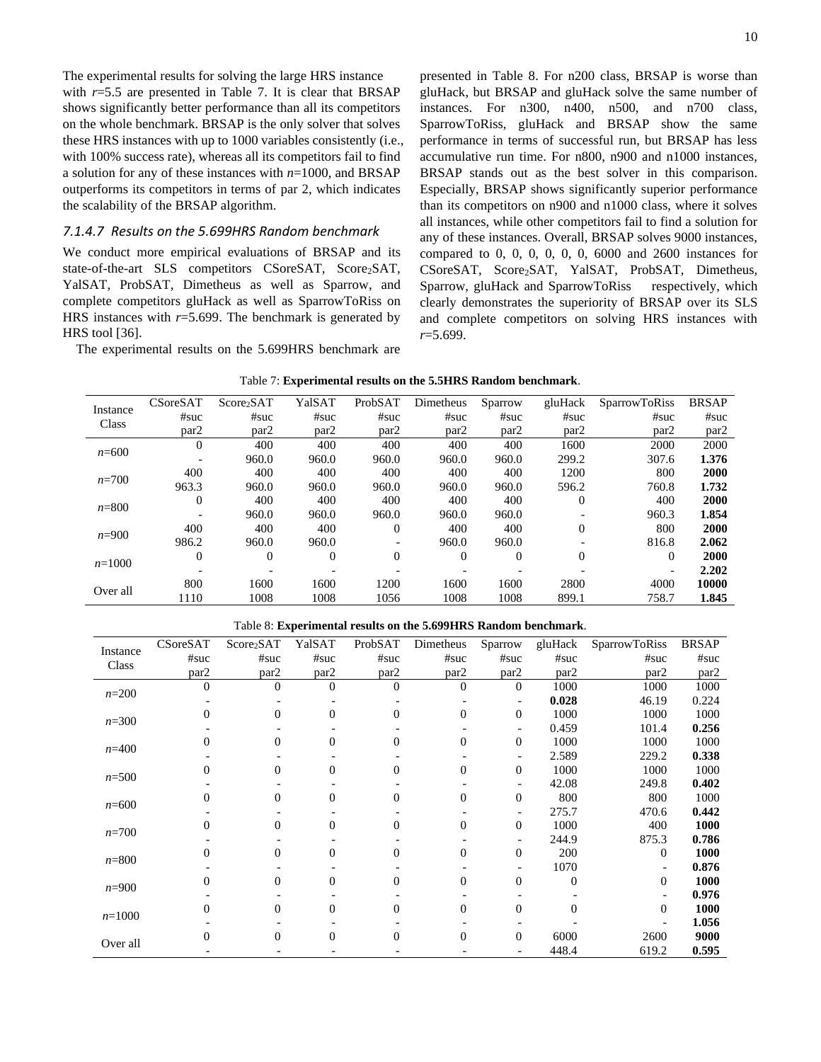10

The experimental results for solving the large HRS instance with  $r=5.5$  are presented in Table 7. It is clear that BRSAP shows significantly better performance than all its competitors on the whole benchmark. BRSAP is the only solver that solves these HRS instances with up to 1000 variables consistently (i.e., with 100% success rate), whereas all its competitors fail to find a solution for any of these instances with *n*=1000, and BRSAP outperforms its competitors in terms of par 2, which indicates the scalability of the BRSAP algorithm.

# *7.1.4.7 Results on the 5.699HRS Random benchmark*

We conduct more empirical evaluations of BRSAP and its state-of-the-art SLS competitors CSoreSAT, Score2SAT, YalSAT, ProbSAT, Dimetheus as well as Sparrow, and complete competitors gluHack as well as SparrowToRiss on HRS instances with *r*=5.699. The benchmark is generated by HRS tool [36].

The experimental results on the 5.699HRS benchmark are

presented in Table 8. For n200 class, BRSAP is worse than gluHack, but BRSAP and gluHack solve the same number of instances. For n300, n400, n500, and n700 class, SparrowToRiss, gluHack and BRSAP show the same performance in terms of successful run, but BRSAP has less accumulative run time. For n800, n900 and n1000 instances, BRSAP stands out as the best solver in this comparison. Especially, BRSAP shows significantly superior performance than its competitors on n900 and n1000 class, where it solves all instances, while other competitors fail to find a solution for any of these instances. Overall, BRSAP solves 9000 instances, compared to 0, 0, 0, 0, 0, 0, 6000 and 2600 instances for CSoreSAT, Score2SAT, YalSAT, ProbSAT, Dimetheus, Sparrow, gluHack and SparrowToRiss respectively, which clearly demonstrates the superiority of BRSAP over its SLS and complete competitors on solving HRS instances with *r*=5.699.

| Instance  | CSoreSAT     | Score <sub>2</sub> SAT | YalSAT           | ProbSAT          | Dimetheus | Sparrow          | gluHack          | <b>SparrowToRiss</b> | <b>BRSAP</b> |
|-----------|--------------|------------------------|------------------|------------------|-----------|------------------|------------------|----------------------|--------------|
| Class     | #succ        | #succ                  | $#$ suc          | #succ            | $#$ suc   | $#$ suc          | $#$ suc          | $#$ suc              | $#$ suc      |
|           | par2         | par2                   | par <sub>2</sub> | par <sub>2</sub> | par2      | par <sub>2</sub> | par <sub>2</sub> | par <sub>2</sub>     | par2         |
| $n=600$   | $\Omega$     | 400                    | 400              | 400              | 400       | 400              | 1600             | 2000                 | 2000         |
|           |              | 960.0                  | 960.0            | 960.0            | 960.0     | 960.0            | 299.2            | 307.6                | 1.376        |
| $n=700$   | 400          | 400                    | 400              | 400              | 400       | 400              | 1200             | 800                  | 2000         |
|           | 963.3        | 960.0                  | 960.0            | 960.0            | 960.0     | 960.0            | 596.2            | 760.8                | 1.732        |
|           | $\Omega$     | 400                    | 400              | 400              | 400       | 400              | $\Omega$         | 400                  | 2000         |
| $n = 800$ |              | 960.0                  | 960.0            | 960.0            | 960.0     | 960.0            |                  | 960.3                | 1.854        |
|           | 400          | 400                    | 400              | 0                | 400       | 400              | 0                | 800                  | 2000         |
| $n = 900$ | 986.2        | 960.0                  | 960.0            |                  | 960.0     | 960.0            |                  | 816.8                | 2.062        |
|           | $\mathbf{0}$ | 0                      | $\mathbf{0}$     | 0                | $\Omega$  | 0                | 0                | 0                    | 2000         |
| $n=1000$  |              |                        |                  |                  |           |                  |                  |                      | 2.202        |
|           | 800          | 1600                   | 1600             | 1200             | 1600      | 1600             | 2800             | 4000                 | 10000        |
| Over all  | 1110         | 1008                   | 1008             | 1056             | 1008      | 1008             | 899.1            | 758.7                | 1.845        |

#### Table 8: **Experimental results on the 5.699HRS Random benchmark**.

| Instance                            | CSoreSAT | Score <sub>2</sub> SAT | YalSAT         | ProbSAT  | Dimetheus | Sparrow          | gluHack  | <b>SparrowToRiss</b> | <b>BRSAP</b> |
|-------------------------------------|----------|------------------------|----------------|----------|-----------|------------------|----------|----------------------|--------------|
| Class                               | #suc     | $#$ suc                | $#$ suc        | $#$ suc  | $#$ suc   | $#$ suc          | #succ    | $#$ suc              | $#$ suc      |
|                                     | par2     | par <sub>2</sub>       | par2           | par2     | par2      | par2             | par2     | par2                 | par2         |
| $n = 200$                           | $\theta$ | $\Omega$               | $\overline{0}$ | $\Omega$ | $\Omega$  | $\theta$         | 1000     | 1000                 | 1000         |
|                                     |          |                        |                |          |           |                  | 0.028    | 46.19                | 0.224        |
|                                     |          | 0                      | 0              | 0        | $\Omega$  | $\mathbf{0}$     | 1000     | 1000                 | 1000         |
| $n = 300$                           |          |                        |                |          |           |                  | 0.459    | 101.4                | 0.256        |
| $n = 400$                           |          | 0                      |                | 0        | $\Omega$  | $\mathbf{0}$     | 1000     | 1000                 | 1000         |
|                                     |          |                        |                |          |           |                  | 2.589    | 229.2                | 0.338        |
| $n = 500$                           |          | 0                      | 0              | 0        | $\Omega$  | $\boldsymbol{0}$ | 1000     | 1000                 | 1000         |
|                                     |          |                        |                |          |           |                  | 42.08    | 249.8                | 0.402        |
|                                     |          | 0                      |                |          | 0         | 0                | 800      | 800                  | 1000         |
|                                     |          |                        |                |          |           |                  | 275.7    | 470.6                | 0.442        |
|                                     |          | 0                      |                | 0        | $\Omega$  | $\boldsymbol{0}$ | 1000     | 400                  | 1000         |
|                                     |          |                        |                |          |           |                  | 244.9    | 875.3                | 0.786        |
| $n = 600$<br>$n = 700$<br>$n = 800$ |          | 0                      |                |          | 0         | $\boldsymbol{0}$ | 200      | $\Omega$             | <b>1000</b>  |
|                                     |          |                        |                |          |           |                  | 1070     |                      | 0.876        |
|                                     |          | 0                      | 0              | 0        | $\Omega$  | $\theta$         | $\theta$ | $\Omega$             | 1000         |
| $n = 900$                           |          |                        |                |          |           |                  |          |                      | 0.976        |
|                                     |          | 0                      | 0              | 0        | 0         | $\theta$         |          | $\Omega$             | 1000         |
| $n = 1000$                          |          |                        |                |          |           |                  |          |                      | 1.056        |
|                                     |          | 0                      |                |          | 0         | 0                | 6000     | 2600                 | 9000         |
| Over all                            |          |                        |                |          |           |                  | 448.4    | 619.2                | 0.595        |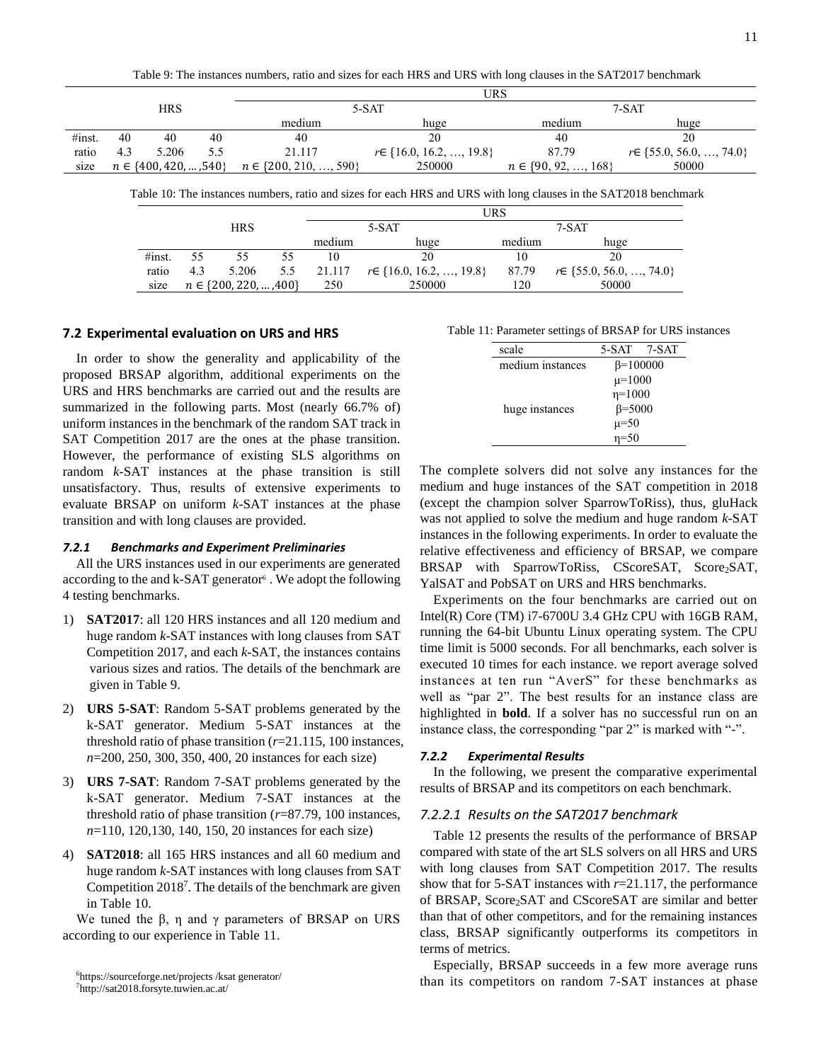Table 9: The instances numbers, ratio and sizes for each HRS and URS with long clauses in the SAT2017 benchmark

|           |     |                                   |     | URS                               |                                |                           |                                      |  |  |  |  |  |  |
|-----------|-----|-----------------------------------|-----|-----------------------------------|--------------------------------|---------------------------|--------------------------------------|--|--|--|--|--|--|
|           |     | HRS                               |     |                                   | 5-SAT                          | 7-SAT                     |                                      |  |  |  |  |  |  |
|           |     |                                   |     | medium                            | huge                           | medium                    | huge                                 |  |  |  |  |  |  |
| $\#inst.$ | 40  | 40                                | 40  | 40                                | 20                             | 40                        | 20                                   |  |  |  |  |  |  |
| ratio     | 4.3 | 5.206                             | 5.5 | 21.117                            | $r \in \{16.0, 16.2, , 19.8\}$ | 87.79                     | $r \in \{55.0, 56.0, \ldots, 74.0\}$ |  |  |  |  |  |  |
| size      |     | $n \in \{400, 420, \ldots, 540\}$ |     | $n \in \{200, 210, \ldots, 590\}$ | 250000                         | $n \in \{90, 92, , 168\}$ | 50000                                |  |  |  |  |  |  |

Table 10: The instances numbers, ratio and sizes for each HRS and URS with long clauses in the SAT2018 benchmark

|           |                             |            |    | URS    |                                           |        |                                |  |  |  |  |  |
|-----------|-----------------------------|------------|----|--------|-------------------------------------------|--------|--------------------------------|--|--|--|--|--|
|           |                             | <b>HRS</b> |    |        | $5-SAT$                                   | 7-SAT  |                                |  |  |  |  |  |
|           |                             |            |    | medium | huge                                      | medium | huge                           |  |  |  |  |  |
| $\#inst.$ | 55                          | 55         | 55 | 10     | 20                                        | 10     | 20                             |  |  |  |  |  |
| ratio     | 4.3                         | 5.206      |    |        | 5.5 21.117 $r \in \{16.0, 16.2, , 19.8\}$ | 87.79  | $r \in \{55.0, 56.0, , 74.0\}$ |  |  |  |  |  |
| size      | $n \in \{200, 220, , 400\}$ |            |    | 250    | 250000                                    | 120    | 50000                          |  |  |  |  |  |

# **7.2 Experimental evaluation on URS and HRS**

In order to show the generality and applicability of the proposed BRSAP algorithm, additional experiments on the URS and HRS benchmarks are carried out and the results are summarized in the following parts. Most (nearly 66.7% of) uniform instances in the benchmark of the random SAT track in SAT Competition 2017 are the ones at the phase transition. However, the performance of existing SLS algorithms on random *k*-SAT instances at the phase transition is still unsatisfactory. Thus, results of extensive experiments to evaluate BRSAP on uniform *k*-SAT instances at the phase transition and with long clauses are provided.

#### *7.2.1 Benchmarks and Experiment Preliminaries*

All the URS instances used in our experiments are generated according to the and k-SAT generator<sup>6</sup>. We adopt the following 4 testing benchmarks.

- 1) **SAT2017**: all 120 HRS instances and all 120 medium and huge random *k*-SAT instances with long clauses from SAT Competition 2017, and each *k*-SAT, the instances contains various sizes and ratios. The details of the benchmark are given in Table 9.
- 2) **URS 5-SAT**: Random 5-SAT problems generated by the k-SAT generator. Medium 5-SAT instances at the threshold ratio of phase transition (*r*=21.115, 100 instances, *n*=200, 250, 300, 350, 400, 20 instances for each size)
- 3) **URS 7-SAT**: Random 7-SAT problems generated by the k-SAT generator. Medium 7-SAT instances at the threshold ratio of phase transition (*r*=87.79, 100 instances, *n*=110, 120,130, 140, 150, 20 instances for each size)
- 4) **SAT2018**: all 165 HRS instances and all 60 medium and huge random *k*-SAT instances with long clauses from SAT Competition 2018 7 . The details of the benchmark are given in Table 10.

We tuned the β, η and γ parameters of BRSAP on URS according to our experience in Table 11.

<sup>6</sup>https://sourceforge.net/projects /ksat generator/ <sup>7</sup>http://sat2018.forsyte.tuwien.ac.at/

Table 11: Parameter settings of BRSAP for URS instances

| scale            |                  | 5-SAT 7-SAT |  |  |  |  |
|------------------|------------------|-------------|--|--|--|--|
| medium instances | $\beta = 100000$ |             |  |  |  |  |
|                  | $\mu = 1000$     |             |  |  |  |  |
|                  | $\eta = 1000$    |             |  |  |  |  |
| huge instances   | $\beta = 5000$   |             |  |  |  |  |
|                  | $\mu = 50$       |             |  |  |  |  |
|                  | $n=50$           |             |  |  |  |  |

The complete solvers did not solve any instances for the medium and huge instances of the SAT competition in 2018 (except the champion solver SparrowToRiss), thus, gluHack was not applied to solve the medium and huge random *k*-SAT instances in the following experiments. In order to evaluate the relative effectiveness and efficiency of BRSAP, we compare BRSAP with SparrowToRiss, CScoreSAT, Score2SAT, YalSAT and PobSAT on URS and HRS benchmarks.

Experiments on the four benchmarks are carried out on Intel(R) Core (TM) i7-6700U 3.4 GHz CPU with 16GB RAM, running the 64-bit Ubuntu Linux operating system. The CPU time limit is 5000 seconds. For all benchmarks, each solver is executed 10 times for each instance. we report average solved instances at ten run "AverS" for these benchmarks as well as "par 2". The best results for an instance class are highlighted in **bold**. If a solver has no successful run on an instance class, the corresponding "par 2" is marked with "-".

#### *7.2.2 Experimental Results*

In the following, we present the comparative experimental results of BRSAP and its competitors on each benchmark.

## *7.2.2.1 Results on the SAT2017 benchmark*

Table 12 presents the results of the performance of BRSAP compared with state of the art SLS solvers on all HRS and URS with long clauses from SAT Competition 2017. The results show that for 5-SAT instances with  $r=21.117$ , the performance of BRSAP, Score2SAT and CScoreSAT are similar and better than that of other competitors, and for the remaining instances class, BRSAP significantly outperforms its competitors in terms of metrics.

Especially, BRSAP succeeds in a few more average runs than its competitors on random 7-SAT instances at phase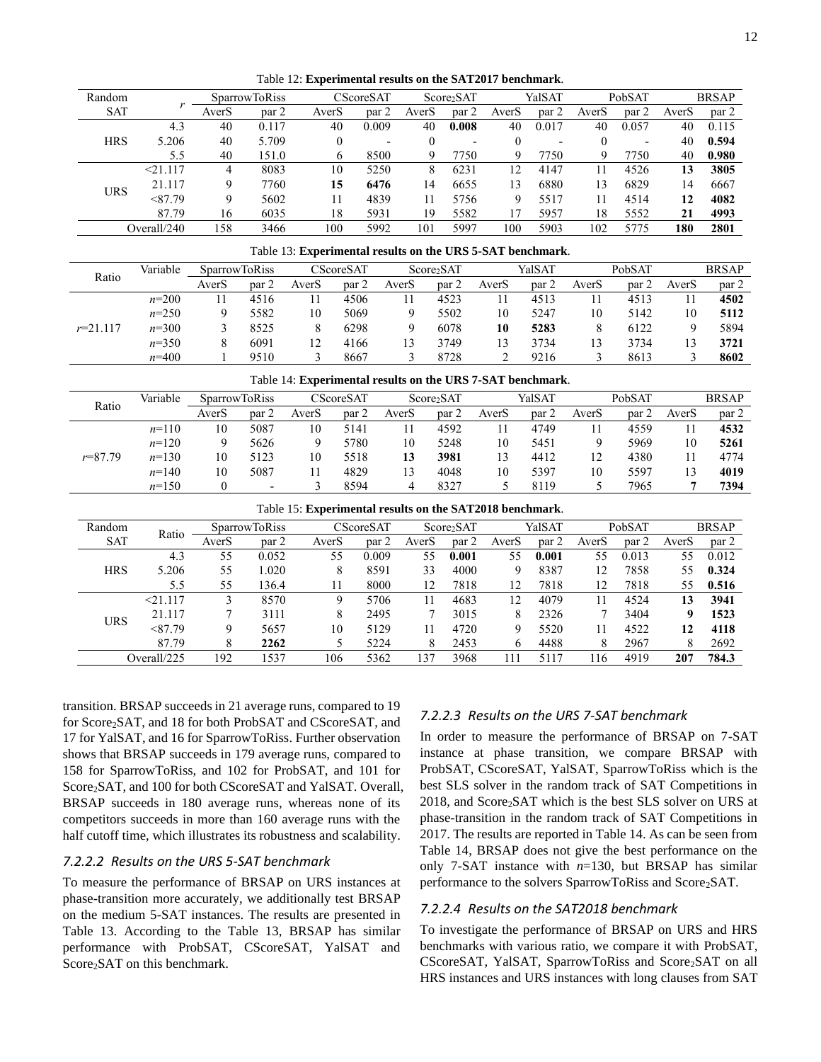Table 12: **Experimental results on the SAT2017 benchmark**.

| Random     |             | SparrowToRiss |       | CScoreSAT |                          | Score <sub>2</sub> SAT |       | YalSAT |                          | PobSAT |       | <b>BRSAP</b> |       |
|------------|-------------|---------------|-------|-----------|--------------------------|------------------------|-------|--------|--------------------------|--------|-------|--------------|-------|
| <b>SAT</b> |             | AverS         | par 2 | AverS     | par 2                    | AverS                  | par 2 | AverS  | par 2                    | AverS  | par 2 | AverS        | par 2 |
|            | 4.3         | 40            | 0.117 | 40        | 0.009                    | 40                     | 0.008 | 40     | 0.017                    | 40     | 0.057 | 40           | 0.115 |
| <b>HRS</b> | 5.206       | 40            | 5.709 |           | $\overline{\phantom{0}}$ |                        | -     |        | $\overline{\phantom{0}}$ |        |       | 40           | 0.594 |
|            | 5.5         | 40            | 151.0 | $\sigma$  | 8500                     | Q                      | 7750  | Q      | 7750                     | ч      | 7750  | 40           | 0.980 |
|            | < 21.117    | 4             | 8083  | 10        | 5250                     | 8                      | 6231  | 12     | 4147                     |        | 4526  | 13           | 3805  |
|            | 21.117      | 9             | 7760  | 15        | 6476                     | 14                     | 6655  | 13     | 6880                     | 3      | 6829  | 14           | 6667  |
| <b>URS</b> | <87.79      | 9             | 5602  | 11        | 4839                     | 11                     | 5756  |        | 5517                     |        | 4514  | 12           | 4082  |
|            | 87.79       | 16            | 6035  | 18        | 5931                     | 19                     | 5582  |        | 5957                     | 18     | 5552  | 21           | 4993  |
|            | Overall/240 | 158           | 3466  | 100       | 5992                     | 101                    | 5997  | 100    | 5903                     | 102    | 5775  | 180          | 2801  |

#### Table 13: **Experimental results on the URS 5-SAT benchmark**.

| Ratio        | Variable | SparrowToRiss |       | CScoreSAT |       | Score <sub>2</sub> SAT |       | YalSAT |       | PobSAT |       | <b>BRSAP</b> |       |
|--------------|----------|---------------|-------|-----------|-------|------------------------|-------|--------|-------|--------|-------|--------------|-------|
|              |          | AverS         | par 2 | AverS     | par 2 | AverS                  | par 2 | AverS  | par 2 | AverS  | par 2 | AverS        | par 2 |
| $r = 21.117$ | $n=200$  |               | 4516  |           | 4506  |                        | 4523  |        | 4513  |        | 4513  |              | 4502  |
|              | $n=250$  |               | 5582  | 10        | 5069  |                        | 5502  | 10     | 5247  | 10     | 5142  | 10           | 5112  |
|              | $n=300$  |               | 8525  |           | 6298  | Q                      | 6078  | 10     | 5283  | 8      | 6122  |              | 5894  |
|              | $n=350$  |               | 6091  |           | 4166  |                        | 3749  | 13     | 3734  | 13     | 3734  | 13           | 3721  |
|              | $n=400$  |               | 9510  |           | 8667  |                        | 8728  |        | 9216  |        | 8613  |              | 8602  |

Table 14: **Experimental results on the URS 7-SAT benchmark**.

| Ratio       | Variable | SparrowToRiss |       | CScoreSAT |       | Score <sub>2</sub> SAT |       | YalSAT |       | PobSAT                           |      | <b>BRSAP</b> |       |
|-------------|----------|---------------|-------|-----------|-------|------------------------|-------|--------|-------|----------------------------------|------|--------------|-------|
|             |          | AverS         | par 2 | AverS     | par 2 | AverS                  | par 2 | AverS  | par 2 | AverS                            | par. | AverS        | par 2 |
| $r = 87.79$ | $n=110$  | 10            | 5087  | 10        | 5141  |                        | 4592  |        | 4749  |                                  | 4559 |              | 4532  |
|             | $n=120$  | Q             | 5626  |           | 5780  | 10                     | 5248  | 10     | 5451  | Q                                | 5969 | 10           | 5261  |
|             | $n=130$  | 10            | 5123  | 10        | 5518  | 13                     | 3981  | 13     | 4412  | $\overline{2}$<br>$\overline{1}$ | 4380 |              | 4774  |
|             | $n=140$  | 10            | 5087  |           | 4829  | 13                     | 4048  | 10     | 5397  | 10                               | 5597 | 13           | 4019  |
|             | $n=150$  |               |       |           | 8594  |                        | 8327  |        | 8119  |                                  | 7965 |              | 7394  |

Table 15: **Experimental results on the SAT2018 benchmark**.

| Random      | Ratio    | SparrowToRiss |       | CScoreSAT |       | Score <sub>2</sub> SAT |       | YalSAT        |                        | PobSAT |       | <b>BRSAP</b> |       |
|-------------|----------|---------------|-------|-----------|-------|------------------------|-------|---------------|------------------------|--------|-------|--------------|-------|
| <b>SAT</b>  |          | AverS         | par 2 | AverS     | par 2 | AverS                  | par 2 | AverS         | par 2                  | AverS  | par 2 | AverS        | par 2 |
| <b>HRS</b>  | 4.3      | 55            | 0.052 | 55        | 0.009 | 55                     | 0.001 | 55            | 0.001                  | 55     | 0.013 | 55           | 0.012 |
|             | 5.206    | 55            | 1.020 | 8         | 8591  | 33                     | 4000  |               | 8387                   |        | 7858  | 55           | 0.324 |
|             | 5.5      | 55            | 136.4 |           | 8000  | 12                     | 7818  | $\mathcal{D}$ | 7818                   | 12     | 7818  | 55           | 0.516 |
|             | < 21.117 |               | 8570  | Q         | 5706  |                        | 4683  | ר ו           | 4079                   |        | 4524  | 13           | 3941  |
|             | 21.117   |               | 3111  | 8         | 2495  |                        | 3015  | 8             | 2326                   |        | 3404  | 9            | 1523  |
| <b>URS</b>  | <87.79   |               | 5657  | 10        | 5129  |                        | 4720  |               | 5520                   |        | 4522  | 12           | 4118  |
|             | 87.79    | 8             | 2262  |           | 5224  | 8                      | 2453  |               | 4488                   | 8      | 2967  | 8            | 2692  |
| Overall/225 |          | 192           | 1537  | 106       | 5362  | 37                     | 3968  | 111           | $\overline{ }$<br>5111 | 16     | 4919  | 207          | 784.3 |

transition. BRSAP succeeds in 21 average runs, compared to 19 for Score2SAT, and 18 for both ProbSAT and CScoreSAT, and 17 for YalSAT, and 16 for SparrowToRiss. Further observation shows that BRSAP succeeds in 179 average runs, compared to 158 for SparrowToRiss, and 102 for ProbSAT, and 101 for Score2SAT, and 100 for both CScoreSAT and YalSAT. Overall, BRSAP succeeds in 180 average runs, whereas none of its competitors succeeds in more than 160 average runs with the half cutoff time, which illustrates its robustness and scalability.

# *7.2.2.2 Results on the URS 5-SAT benchmark*

To measure the performance of BRSAP on URS instances at phase-transition more accurately, we additionally test BRSAP on the medium 5-SAT instances. The results are presented in Table 13. According to the Table 13, BRSAP has similar performance with ProbSAT, CScoreSAT, YalSAT and Score<sub>2</sub>SAT on this benchmark.

# *7.2.2.3 Results on the URS 7-SAT benchmark*

In order to measure the performance of BRSAP on 7-SAT instance at phase transition, we compare BRSAP with ProbSAT, CScoreSAT, YalSAT, SparrowToRiss which is the best SLS solver in the random track of SAT Competitions in 2018, and Score2SAT which is the best SLS solver on URS at phase-transition in the random track of SAT Competitions in 2017. The results are reported in Table 14. As can be seen from Table 14, BRSAP does not give the best performance on the only 7-SAT instance with *n*=130, but BRSAP has similar performance to the solvers SparrowToRiss and Score<sub>2</sub>SAT.

# *7.2.2.4 Results on the SAT2018 benchmark*

To investigate the performance of BRSAP on URS and HRS benchmarks with various ratio, we compare it with ProbSAT, CScoreSAT, YalSAT, SparrowToRiss and Score<sub>2</sub>SAT on all HRS instances and URS instances with long clauses from SAT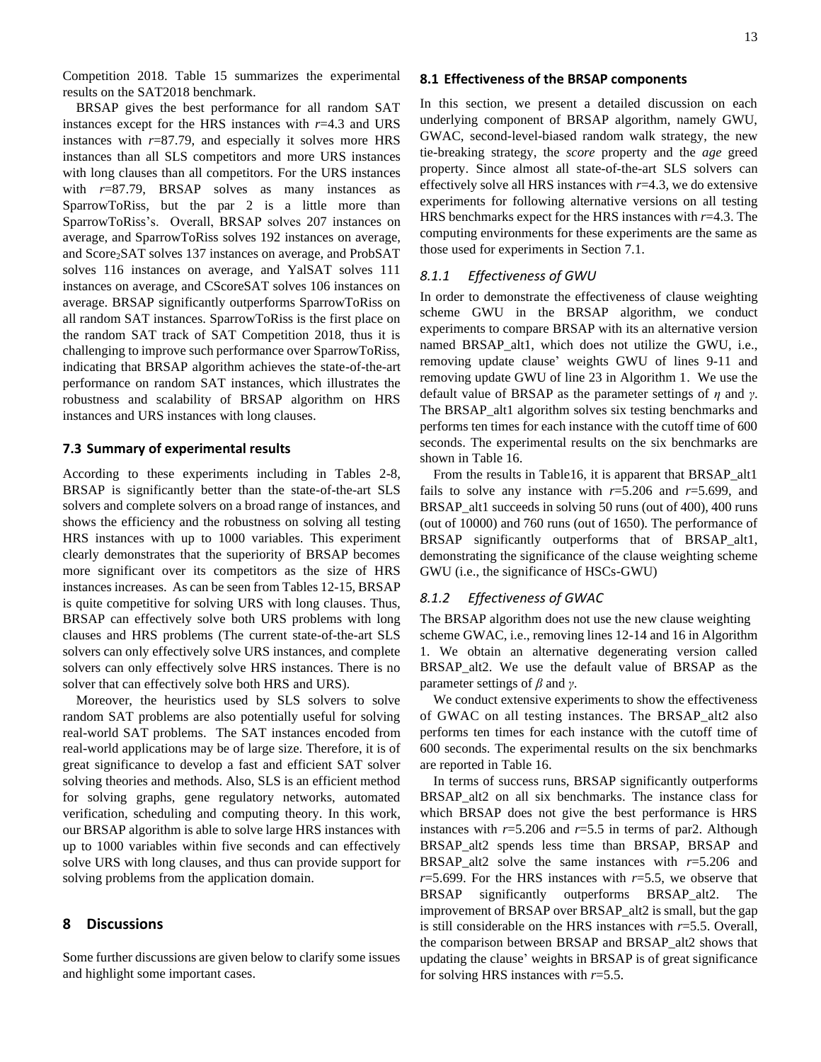Competition 2018. Table 15 summarizes the experimental results on the SAT2018 benchmark.

BRSAP gives the best performance for all random SAT instances except for the HRS instances with *r*=4.3 and URS instances with  $r=87.79$ , and especially it solves more HRS instances than all SLS competitors and more URS instances with long clauses than all competitors. For the URS instances with *r*=87.79, BRSAP solves as many instances as SparrowToRiss, but the par 2 is a little more than SparrowToRiss's. Overall, BRSAP solves 207 instances on average, and SparrowToRiss solves 192 instances on average, and Score2SAT solves 137 instances on average, and ProbSAT solves 116 instances on average, and YalSAT solves 111 instances on average, and CScoreSAT solves 106 instances on average. BRSAP significantly outperforms SparrowToRiss on all random SAT instances. SparrowToRiss is the first place on the random SAT track of SAT Competition 2018, thus it is challenging to improve such performance over SparrowToRiss, indicating that BRSAP algorithm achieves the state-of-the-art performance on random SAT instances, which illustrates the robustness and scalability of BRSAP algorithm on HRS instances and URS instances with long clauses.

# **7.3 Summary of experimental results**

According to these experiments including in Tables 2-8, BRSAP is significantly better than the state-of-the-art SLS solvers and complete solvers on a broad range of instances, and shows the efficiency and the robustness on solving all testing HRS instances with up to 1000 variables. This experiment clearly demonstrates that the superiority of BRSAP becomes more significant over its competitors as the size of HRS instances increases. As can be seen from Tables 12-15, BRSAP is quite competitive for solving URS with long clauses. Thus, BRSAP can effectively solve both URS problems with long clauses and HRS problems (The current state-of-the-art SLS solvers can only effectively solve URS instances, and complete solvers can only effectively solve HRS instances. There is no solver that can effectively solve both HRS and URS).

Moreover, the heuristics used by SLS solvers to solve random SAT problems are also potentially useful for solving real-world SAT problems. The SAT instances encoded from real-world applications may be of large size. Therefore, it is of great significance to develop a fast and efficient SAT solver solving theories and methods. Also, SLS is an efficient method for solving graphs, gene regulatory networks, automated verification, scheduling and computing theory. In this work, our BRSAP algorithm is able to solve large HRS instances with up to 1000 variables within five seconds and can effectively solve URS with long clauses, and thus can provide support for solving problems from the application domain.

# **8 Discussions**

Some further discussions are given below to clarify some issues and highlight some important cases.

#### **8.1 Effectiveness of the BRSAP components**

In this section, we present a detailed discussion on each underlying component of BRSAP algorithm, namely GWU, GWAC, second-level-biased random walk strategy, the new tie-breaking strategy, the *score* property and the *age* greed property. Since almost all state-of-the-art SLS solvers can effectively solve all HRS instances with *r*=4.3, we do extensive experiments for following alternative versions on all testing HRS benchmarks expect for the HRS instances with *r*=4.3. The computing environments for these experiments are the same as those used for experiments in Section 7.1.

# *8.1.1 Effectiveness of GWU*

In order to demonstrate the effectiveness of clause weighting scheme GWU in the BRSAP algorithm, we conduct experiments to compare BRSAP with its an alternative version named BRSAP\_alt1, which does not utilize the GWU, i.e., removing update clause' weights GWU of lines 9-11 and removing update GWU of line 23 in Algorithm 1. We use the default value of BRSAP as the parameter settings of *η* and *γ*. The BRSAP\_alt1 algorithm solves six testing benchmarks and performs ten times for each instance with the cutoff time of 600 seconds. The experimental results on the six benchmarks are shown in Table 16.

From the results in Table16, it is apparent that BRSAP\_alt1 fails to solve any instance with  $r=5.206$  and  $r=5.699$ , and BRSAP\_alt1 succeeds in solving 50 runs (out of 400), 400 runs (out of 10000) and 760 runs (out of 1650). The performance of BRSAP significantly outperforms that of BRSAP alt1, demonstrating the significance of the clause weighting scheme GWU (i.e., the significance of HSCs-GWU)

# *8.1.2 Effectiveness of GWAC*

The BRSAP algorithm does not use the new clause weighting scheme GWAC, i.e., removing lines 12-14 and 16 in Algorithm 1. We obtain an alternative degenerating version called BRSAP\_alt2. We use the default value of BRSAP as the parameter settings of *β* and *γ*.

We conduct extensive experiments to show the effectiveness of GWAC on all testing instances. The BRSAP\_alt2 also performs ten times for each instance with the cutoff time of 600 seconds. The experimental results on the six benchmarks are reported in Table 16.

In terms of success runs, BRSAP significantly outperforms BRSAP\_alt2 on all six benchmarks. The instance class for which BRSAP does not give the best performance is HRS instances with  $r=5.206$  and  $r=5.5$  in terms of par2. Although BRSAP alt2 spends less time than BRSAP, BRSAP and BRSAP\_alt2 solve the same instances with *r*=5.206 and *r*=5.699. For the HRS instances with *r*=5.5, we observe that BRSAP significantly outperforms BRSAP\_alt2. The improvement of BRSAP over BRSAP\_alt2 is small, but the gap is still considerable on the HRS instances with *r*=5.5. Overall, the comparison between BRSAP and BRSAP\_alt2 shows that updating the clause' weights in BRSAP is of great significance for solving HRS instances with *r*=5.5.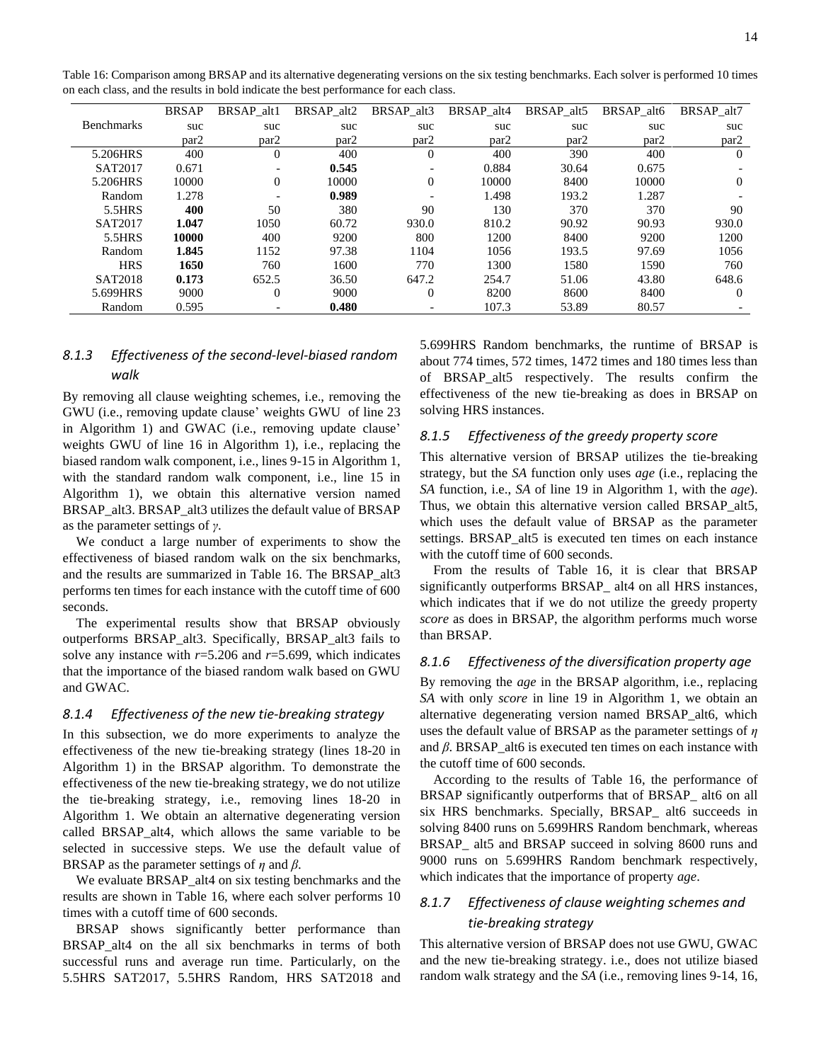|                   | <b>BRSAP</b>     | BRSAP alt1       | BRSAP_alt2       | BRSAP alt3       | BRSAP_alt4       | BRSAP alt5       | BRSAP alt6       | BRSAP alt7       |
|-------------------|------------------|------------------|------------------|------------------|------------------|------------------|------------------|------------------|
| <b>Benchmarks</b> | suc              | suc              | suc              | suc              | suc              | suc              | suc              | suc              |
|                   | par <sub>2</sub> | par <sub>2</sub> | par <sub>2</sub> | par <sub>2</sub> | par <sub>2</sub> | par <sub>2</sub> | par <sub>2</sub> | par <sub>2</sub> |
| 5.206HRS          | 400              | $\Omega$         | 400              | $\Omega$         | 400              | 390              | 400              | $\Omega$         |
| SAT2017           | 0.671            |                  | 0.545            |                  | 0.884            | 30.64            | 0.675            |                  |
| 5.206HRS          | 10000            | 0                | 10000            | $\Omega$         | 10000            | 8400             | 10000            | $\Omega$         |
| Random            | 1.278            |                  | 0.989            |                  | 1.498            | 193.2            | 1.287            |                  |
| 5.5HRS            | 400              | 50               | 380              | 90               | 130              | 370              | 370              | 90               |
| SAT2017           | 1.047            | 1050             | 60.72            | 930.0            | 810.2            | 90.92            | 90.93            | 930.0            |
| 5.5HRS            | 10000            | 400              | 9200             | 800              | 1200             | 8400             | 9200             | 1200             |
| Random            | 1.845            | 1152             | 97.38            | 1104             | 1056             | 193.5            | 97.69            | 1056             |
| <b>HRS</b>        | 1650             | 760              | 1600             | 770              | 1300             | 1580             | 1590             | 760              |
| SAT2018           | 0.173            | 652.5            | 36.50            | 647.2            | 254.7            | 51.06            | 43.80            | 648.6            |
| 5.699HRS          | 9000             | 0                | 9000             | 0                | 8200             | 8600             | 8400             | $\Omega$         |
| Random            | 0.595            |                  | 0.480            |                  | 107.3            | 53.89            | 80.57            |                  |

Table 16: Comparison among BRSAP and its alternative degenerating versions on the six testing benchmarks. Each solver is performed 10 times on each class, and the results in bold indicate the best performance for each class.

# *8.1.3 Effectiveness of the second-level-biased random walk*

By removing all clause weighting schemes, i.e., removing the GWU (i.e., removing update clause' weights GWU of line 23 in Algorithm 1) and GWAC (i.e., removing update clause' weights GWU of line 16 in Algorithm 1), i.e., replacing the biased random walk component, i.e., lines 9-15 in Algorithm 1, with the standard random walk component, i.e., line 15 in Algorithm 1), we obtain this alternative version named BRSAP\_alt3. BRSAP\_alt3 utilizes the default value of BRSAP as the parameter settings of *γ*.

We conduct a large number of experiments to show the effectiveness of biased random walk on the six benchmarks, and the results are summarized in Table 16. The BRSAP\_alt3 performs ten times for each instance with the cutoff time of 600 seconds.

The experimental results show that BRSAP obviously outperforms BRSAP\_alt3. Specifically, BRSAP\_alt3 fails to solve any instance with *r*=5.206 and *r*=5.699, which indicates that the importance of the biased random walk based on GWU and GWAC.

# *8.1.4 Effectiveness of the new tie-breaking strategy*

In this subsection, we do more experiments to analyze the effectiveness of the new tie-breaking strategy (lines 18-20 in Algorithm 1) in the BRSAP algorithm. To demonstrate the effectiveness of the new tie-breaking strategy, we do not utilize the tie-breaking strategy, i.e., removing lines 18-20 in Algorithm 1. We obtain an alternative degenerating version called BRSAP\_alt4, which allows the same variable to be selected in successive steps. We use the default value of BRSAP as the parameter settings of *η* and *β*.

We evaluate BRSAP alt4 on six testing benchmarks and the results are shown in Table 16, where each solver performs 10 times with a cutoff time of 600 seconds.

BRSAP shows significantly better performance than BRSAP alt4 on the all six benchmarks in terms of both successful runs and average run time. Particularly, on the 5.5HRS SAT2017, 5.5HRS Random, HRS SAT2018 and 5.699HRS Random benchmarks, the runtime of BRSAP is about 774 times, 572 times, 1472 times and 180 times less than of BRSAP\_alt5 respectively. The results confirm the effectiveness of the new tie-breaking as does in BRSAP on solving HRS instances.

# *8.1.5 Effectiveness of the greedy property score*

This alternative version of BRSAP utilizes the tie-breaking strategy, but the *SA* function only uses *age* (i.e., replacing the *SA* function, i.e., *SA* of line 19 in Algorithm 1, with the *age*). Thus, we obtain this alternative version called BRSAP alt5, which uses the default value of BRSAP as the parameter settings. BRSAP\_alt5 is executed ten times on each instance with the cutoff time of 600 seconds.

From the results of Table 16, it is clear that BRSAP significantly outperforms BRSAP\_ alt4 on all HRS instances, which indicates that if we do not utilize the greedy property *score* as does in BRSAP, the algorithm performs much worse than BRSAP.

# *8.1.6 Effectiveness of the diversification property age*

By removing the *age* in the BRSAP algorithm, i.e., replacing *SA* with only *score* in line 19 in Algorithm 1, we obtain an alternative degenerating version named BRSAP\_alt6, which uses the default value of BRSAP as the parameter settings of *η*  and *β*. BRSAP\_alt6 is executed ten times on each instance with the cutoff time of 600 seconds.

According to the results of Table 16, the performance of BRSAP significantly outperforms that of BRSAP\_ alt6 on all six HRS benchmarks. Specially, BRSAP\_ alt6 succeeds in solving 8400 runs on 5.699HRS Random benchmark, whereas BRSAP\_ alt5 and BRSAP succeed in solving 8600 runs and 9000 runs on 5.699HRS Random benchmark respectively, which indicates that the importance of property *age*.

# *8.1.7 Effectiveness of clause weighting schemes and tie-breaking strategy*

This alternative version of BRSAP does not use GWU, GWAC and the new tie-breaking strategy. i.e., does not utilize biased random walk strategy and the *SA* (i.e., removing lines 9-14, 16,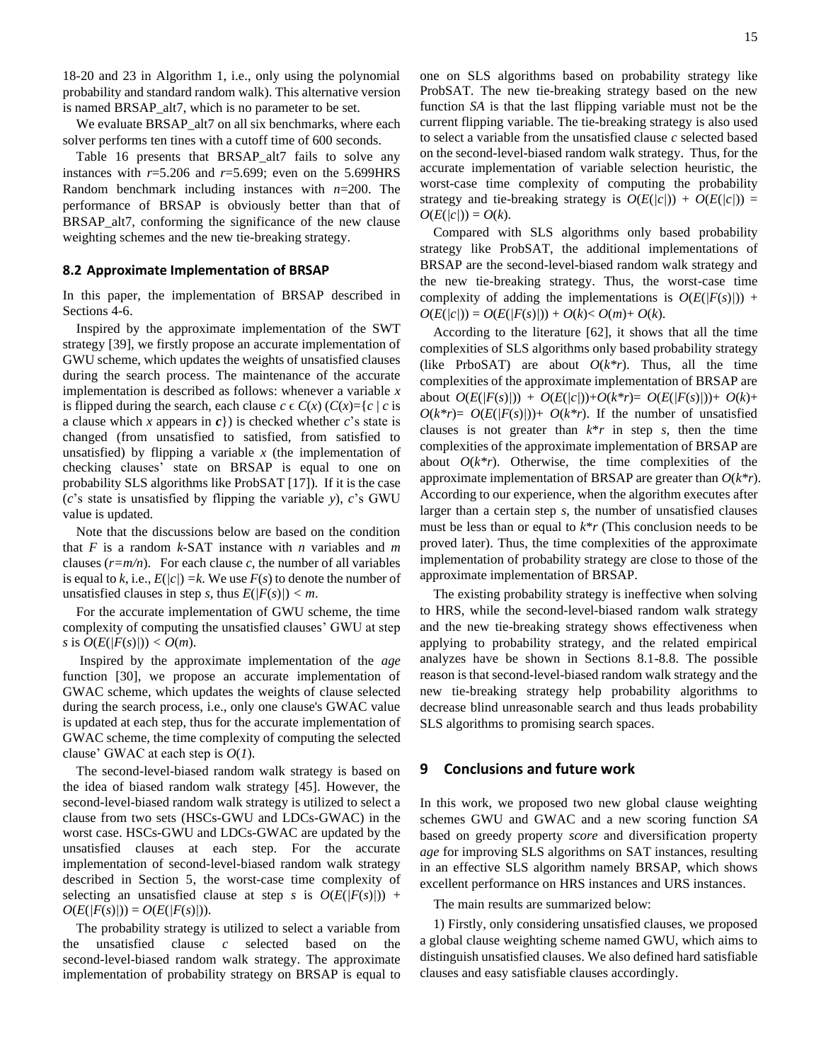18-20 and 23 in Algorithm 1, i.e., only using the polynomial probability and standard random walk). This alternative version is named BRSAP\_alt7, which is no parameter to be set.

We evaluate BRSAP\_alt7 on all six benchmarks, where each solver performs ten tines with a cutoff time of 600 seconds.

Table 16 presents that BRSAP alt7 fails to solve any instances with  $r=5.206$  and  $r=5.699$ ; even on the 5.699HRS Random benchmark including instances with *n*=200. The performance of BRSAP is obviously better than that of BRSAP\_alt7, conforming the significance of the new clause weighting schemes and the new tie-breaking strategy.

#### **8.2 Approximate Implementation of BRSAP**

In this paper, the implementation of BRSAP described in Sections 4-6.

Inspired by the approximate implementation of the SWT strategy [39], we firstly propose an accurate implementation of GWU scheme, which updates the weights of unsatisfied clauses during the search process. The maintenance of the accurate implementation is described as follows: whenever a variable *x* is flipped during the search, each clause  $c \in C(x)$  ( $C(x) = \{c \mid c \text{ is }$ a clause which *x* appears in *c*}) is checked whether *c*'s state is changed (from unsatisfied to satisfied, from satisfied to unsatisfied) by flipping a variable *x* (the implementation of checking clauses' state on BRSAP is equal to one on probability SLS algorithms like ProbSAT [17]). If it is the case (*c*'s state is unsatisfied by flipping the variable *y*), *c*'s GWU value is updated.

Note that the discussions below are based on the condition that *F* is a random *k*-SAT instance with *n* variables and *m* clauses  $(r=m/n)$ . For each clause *c*, the number of all variables is equal to *k*, i.e.,  $E(|c|) = k$ . We use  $F(s)$  to denote the number of unsatisfied clauses in step *s*, thus  $E(|F(s)|) < m$ .

For the accurate implementation of GWU scheme, the time complexity of computing the unsatisfied clauses' GWU at step  $s$  is  $O(E(|F(s)|)) < O(m)$ .

Inspired by the approximate implementation of the *age* function [30], we propose an accurate implementation of GWAC scheme, which updates the weights of clause selected during the search process, i.e., only one clause's GWAC value is updated at each step, thus for the accurate implementation of GWAC scheme, the time complexity of computing the selected clause' GWAC at each step is *O*(*1*).

The second-level-biased random walk strategy is based on the idea of biased random walk strategy [45]. However, the second-level-biased random walk strategy is utilized to select a clause from two sets (HSCs-GWU and LDCs-GWAC) in the worst case. HSCs-GWU and LDCs-GWAC are updated by the unsatisfied clauses at each step. For the accurate implementation of second-level-biased random walk strategy described in Section 5, the worst-case time complexity of selecting an unsatisfied clause at step *s* is  $O(E(|F(s)|))$  +  $O(E(|F(s)|)) = O(E(|F(s)|)).$ 

The probability strategy is utilized to select a variable from the unsatisfied clause *c* selected based on the second-level-biased random walk strategy. The approximate implementation of probability strategy on BRSAP is equal to one on SLS algorithms based on probability strategy like ProbSAT. The new tie-breaking strategy based on the new function *SA* is that the last flipping variable must not be the current flipping variable. The tie-breaking strategy is also used to select a variable from the unsatisfied clause *c* selected based on the second-level-biased random walk strategy. Thus, for the accurate implementation of variable selection heuristic, the worst-case time complexity of computing the probability strategy and tie-breaking strategy is  $O(E(|c|)) + O(E(|c|)) =$  $O(E(|c|)) = O(k)$ .

Compared with SLS algorithms only based probability strategy like ProbSAT, the additional implementations of BRSAP are the second-level-biased random walk strategy and the new tie-breaking strategy. Thus, the worst-case time complexity of adding the implementations is  $O(E(|F(s)|))$  +  $O(E(|c|)) = O(E(|F(s)|)) + O(k) < O(m) + O(k).$ 

According to the literature [62], it shows that all the time complexities of SLS algorithms only based probability strategy (like PrboSAT) are about  $O(k<sup>*</sup>r)$ . Thus, all the time complexities of the approximate implementation of BRSAP are about  $O(E(|F(s)|)) + O(E(|c|)) + O(k*r) = O(E(|F(s)|)) + O(k) +$  $O(k*r) = O(E(|F(s)|)) + O(k*r)$ . If the number of unsatisfied clauses is not greater than *k*\**r* in step *s*, then the time complexities of the approximate implementation of BRSAP are about  $O(k^*r)$ . Otherwise, the time complexities of the approximate implementation of BRSAP are greater than *O*(*k\*r*). According to our experience, when the algorithm executes after larger than a certain step *s*, the number of unsatisfied clauses must be less than or equal to  $k^*r$  (This conclusion needs to be proved later). Thus, the time complexities of the approximate implementation of probability strategy are close to those of the approximate implementation of BRSAP.

The existing probability strategy is ineffective when solving to HRS, while the second-level-biased random walk strategy and the new tie-breaking strategy shows effectiveness when applying to probability strategy, and the related empirical analyzes have be shown in Sections 8.1-8.8. The possible reason is that second-level-biased random walk strategy and the new tie-breaking strategy help probability algorithms to decrease blind unreasonable search and thus leads probability SLS algorithms to promising search spaces.

# **9 Conclusions and future work**

In this work, we proposed two new global clause weighting schemes GWU and GWAC and a new scoring function *SA* based on greedy property *score* and diversification property *age* for improving SLS algorithms on SAT instances, resulting in an effective SLS algorithm namely BRSAP, which shows excellent performance on HRS instances and URS instances.

The main results are summarized below:

1) Firstly, only considering unsatisfied clauses, we proposed a global clause weighting scheme named GWU, which aims to distinguish unsatisfied clauses. We also defined hard satisfiable clauses and easy satisfiable clauses accordingly.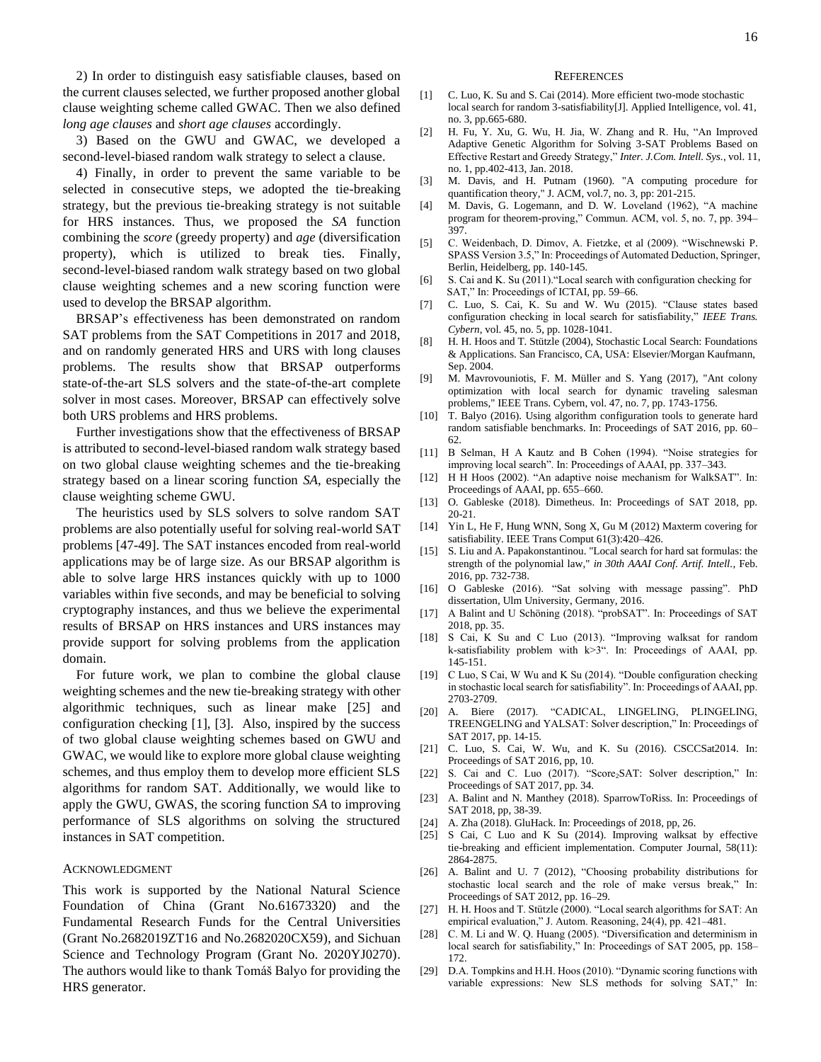2) In order to distinguish easy satisfiable clauses, based on the current clauses selected, we further proposed another global clause weighting scheme called GWAC. Then we also defined *long age clauses* and *short age clauses* accordingly.

3) Based on the GWU and GWAC, we developed a second-level-biased random walk strategy to select a clause.

4) Finally, in order to prevent the same variable to be selected in consecutive steps, we adopted the tie-breaking strategy, but the previous tie-breaking strategy is not suitable for HRS instances. Thus, we proposed the *SA* function combining the *score* (greedy property) and *age* (diversification property), which is utilized to break ties. Finally, second-level-biased random walk strategy based on two global clause weighting schemes and a new scoring function were used to develop the BRSAP algorithm.

BRSAP's effectiveness has been demonstrated on random SAT problems from the SAT Competitions in 2017 and 2018, and on randomly generated HRS and URS with long clauses problems. The results show that BRSAP outperforms state-of-the-art SLS solvers and the state-of-the-art complete solver in most cases. Moreover, BRSAP can effectively solve both URS problems and HRS problems.

Further investigations show that the effectiveness of BRSAP is attributed to second-level-biased random walk strategy based on two global clause weighting schemes and the tie-breaking strategy based on a linear scoring function *SA*, especially the clause weighting scheme GWU.

The heuristics used by SLS solvers to solve random SAT problems are also potentially useful for solving real-world SAT problems [47-49]. The SAT instances encoded from real-world applications may be of large size. As our BRSAP algorithm is able to solve large HRS instances quickly with up to 1000 variables within five seconds, and may be beneficial to solving cryptography instances, and thus we believe the experimental results of BRSAP on HRS instances and URS instances may provide support for solving problems from the application domain.

For future work, we plan to combine the global clause weighting schemes and the new tie-breaking strategy with other algorithmic techniques, such as linear make [25] and configuration checking [1], [3]. Also, inspired by the success of two global clause weighting schemes based on GWU and GWAC, we would like to explore more global clause weighting schemes, and thus employ them to develop more efficient SLS algorithms for random SAT. Additionally, we would like to apply the GWU, GWAS, the scoring function *SA* to improving performance of SLS algorithms on solving the structured instances in SAT competition.

#### ACKNOWLEDGMENT

This work is supported by the National Natural Science Foundation of China (Grant No.61673320) and the Fundamental Research Funds for the Central Universities (Grant No.2682019ZT16 and No.2682020CX59), and Sichuan Science and Technology Program (Grant No. 2020YJ0270). The authors would like to thank Tomáš Balyo for providing the HRS generator.

#### **REFERENCES**

- [1] C. Luo, K. Su and S. Cai (2014). More efficient two-mode stochastic local search for random 3-satisfiability[J]. Applied Intelligence, vol. 41, no. 3, pp.665-680.
- [2] H. Fu, Y. Xu, G. Wu, H. Jia, W. Zhang and R. Hu, "An Improved Adaptive Genetic Algorithm for Solving 3-SAT Problems Based on Effective Restart and Greedy Strategy," *Inter. J.Com. Intell. Sys.*, vol. 11, no. 1, pp.402-413, Jan. 2018.
- [3] M. Davis, and H. Putnam (1960). "A computing procedure for quantification theory," J. ACM, vol.7, no. 3, pp: 201-215.
- [4] M. Davis, G. Logemann, and D. W. Loveland (1962), "A machine program for theorem-proving," Commun. ACM, vol. 5, no. 7, pp. 394– 397.
- [5] C. Weidenbach, D. Dimov, A. Fietzke, et al (2009). "Wischnewski P. SPASS Version 3.5," In: Proceedings of Automated Deduction, Springer, Berlin, Heidelberg, pp. 140-145.
- [6] S. Cai and K. Su (2011)."Local search with configuration checking for SAT," In: Proceedings of ICTAI, pp. 59–66.
- [7] C. Luo, S. Cai, K. Su and W. Wu (2015). "Clause states based configuration checking in local search for satisfiability," *IEEE Trans. Cybern*, vol. 45, no. 5, pp. 1028-1041.
- [8] H. H. Hoos and T. Stützle (2004), Stochastic Local Search: Foundations & Applications. San Francisco, CA, USA: Elsevier/Morgan Kaufmann, Sep. 2004.
- [9] M. Mavrovouniotis, F. M. Müller and S. Yang (2017), "Ant colony optimization with local search for dynamic traveling salesman problems," IEEE Trans. Cybern, vol. 47, no. 7, pp. 1743-1756.
- [10] T. Balyo (2016). Using algorithm configuration tools to generate hard random satisfiable benchmarks. In: Proceedings of SAT 2016, pp. 60– 62.
- [11] B Selman, H A Kautz and B Cohen (1994). "Noise strategies for improving local search". In: Proceedings of AAAI, pp. 337–343.
- [12] H H Hoos (2002). "An adaptive noise mechanism for WalkSAT". In: Proceedings of AAAI, pp. 655–660.
- [13] O. Gableske (2018). Dimetheus. In: Proceedings of SAT 2018, pp. 20-21.
- [14] Yin L, He F, Hung WNN, Song X, Gu M (2012) Maxterm covering for satisfiability. IEEE Trans Comput 61(3):420–426.
- [15] S. Liu and A. Papakonstantinou. "Local search for hard sat formulas: the strength of the polynomial law," *in 30th AAAI Conf. Artif. Intell.*, Feb. 2016, pp. 732-738.
- [16] O Gableske (2016). "Sat solving with message passing". PhD dissertation, Ulm University, Germany, 2016.
- [17] A Balint and U Schöning (2018). "probSAT". In: Proceedings of SAT 2018, pp. 35.
- [18] S Cai, K Su and C Luo (2013). "Improving walksat for random k-satisfiability problem with k>3". In: Proceedings of AAAI, pp. 145-151.
- [19] C Luo, S Cai, W Wu and K Su (2014). "Double configuration checking in stochastic local search for satisfiability". In: Proceedings of AAAI, pp. 2703-2709.
- [20] A. Biere (2017). "CADICAL, LINGELING, PLINGELING, TREENGELING and YALSAT: Solver description," In: Proceedings of SAT 2017, pp. 14-15*.*
- [21] C. Luo, S. Cai, W. Wu, and K. Su (2016). CSCCSat2014. In: Proceedings of SAT 2016, pp, 10.
- [22] S. Cai and C. Luo (2017). "Score<sub>2</sub>SAT: Solver description," In: Proceedings of SAT 2017, pp. 34.
- [23] A. Balint and N. Manthey (2018). SparrowToRiss. In: Proceedings of SAT 2018, pp, 38-39.
- [24] A. Zha (2018). GluHack. In: Proceedings of 2018, pp, 26.
- [25] S Cai, C Luo and K Su (2014). Improving walksat by effective tie-breaking and efficient implementation. Computer Journal, 58(11): 2864-2875.
- [26] A. Balint and U. 7 (2012), "Choosing probability distributions for stochastic local search and the role of make versus break," In: Proceedings of SAT 2012, pp. 16–29.
- [27] H. H. Hoos and T. Stützle (2000). "Local search algorithms for SAT: An empirical evaluation," J. Autom. Reasoning, 24(4), pp. 421–481.
- [28] C. M. Li and W. Q. Huang (2005). "Diversification and determinism in local search for satisfiability," In: Proceedings of SAT 2005, pp. 158– 172.
- [29] D.A. Tompkins and H.H. Hoos (2010). "Dynamic scoring functions with variable expressions: New SLS methods for solving SAT," In: